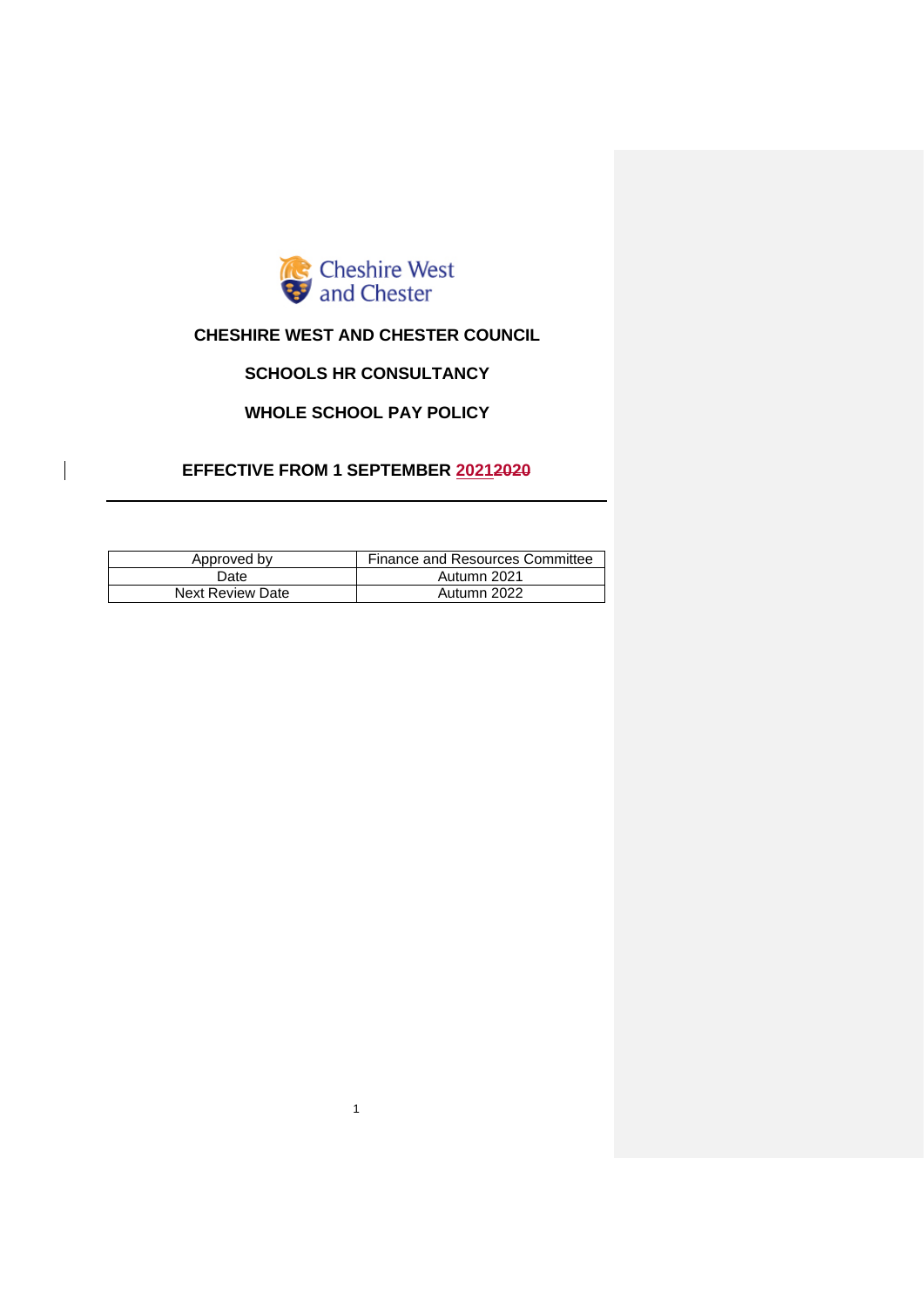

# **CHESHIRE WEST AND CHESTER COUNCIL**

# **SCHOOLS HR CONSULTANCY**

# **WHOLE SCHOOL PAY POLICY**

# **EFFECTIVE FROM 1 SEPTEMBER 20212020**

 $\overline{\phantom{a}}$ 

| Approved by             | Finance and Resources Committee |
|-------------------------|---------------------------------|
| Date                    | Autumn 2021                     |
| <b>Next Review Date</b> | Autumn 2022                     |

1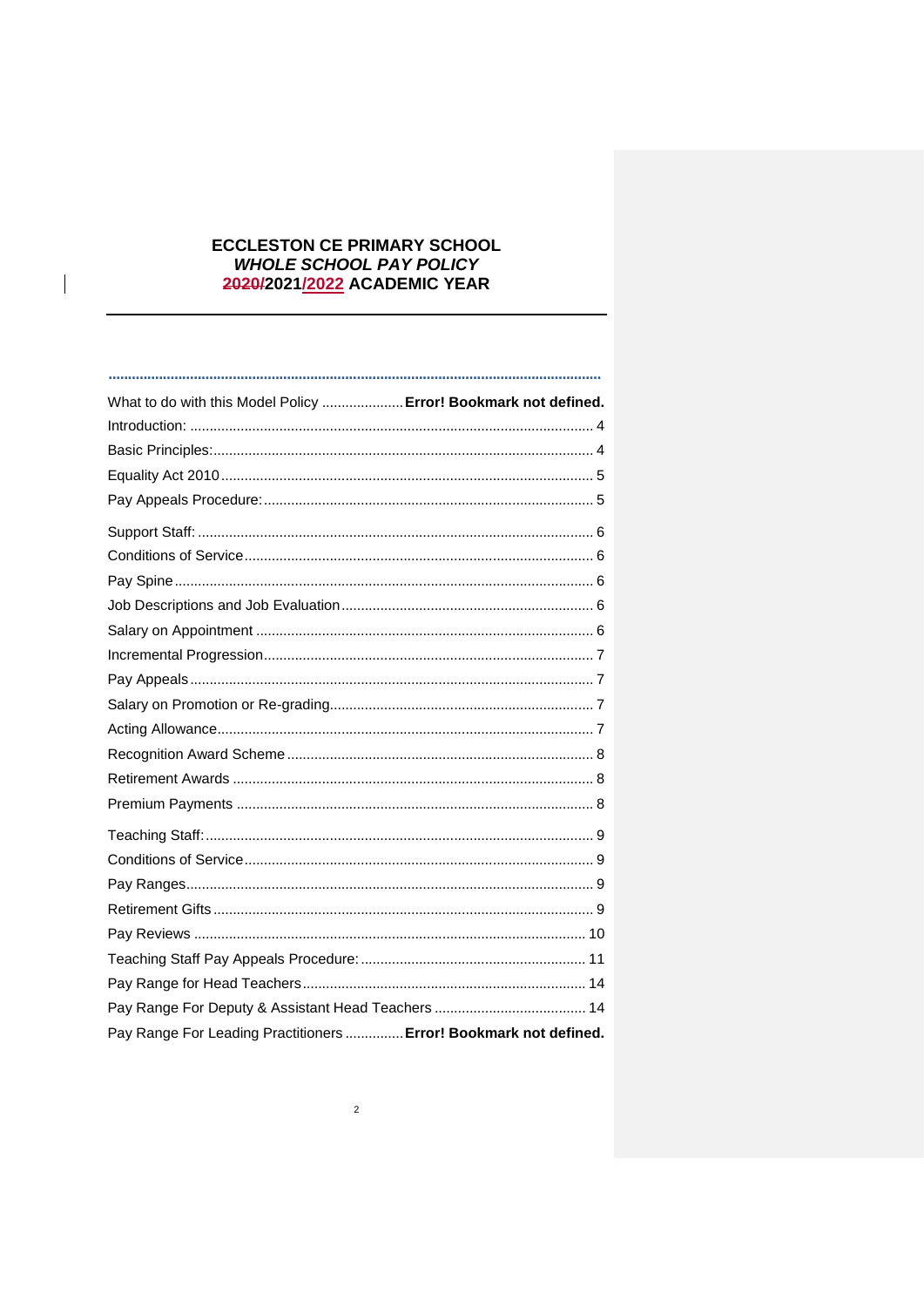# **ECCLESTON CE PRIMARY SCHOOL** WHOLE SCHOOL PAY POLICY 2020/2021/2022 ACADEMIC YEAR

 $\overline{\phantom{a}}$ 

| What to do with this Model Policy  Error! Bookmark not defined.   |  |
|-------------------------------------------------------------------|--|
|                                                                   |  |
|                                                                   |  |
|                                                                   |  |
|                                                                   |  |
|                                                                   |  |
|                                                                   |  |
|                                                                   |  |
|                                                                   |  |
|                                                                   |  |
|                                                                   |  |
|                                                                   |  |
|                                                                   |  |
|                                                                   |  |
|                                                                   |  |
|                                                                   |  |
|                                                                   |  |
|                                                                   |  |
|                                                                   |  |
|                                                                   |  |
|                                                                   |  |
|                                                                   |  |
|                                                                   |  |
|                                                                   |  |
|                                                                   |  |
| Pay Range For Leading Practitioners  Error! Bookmark not defined. |  |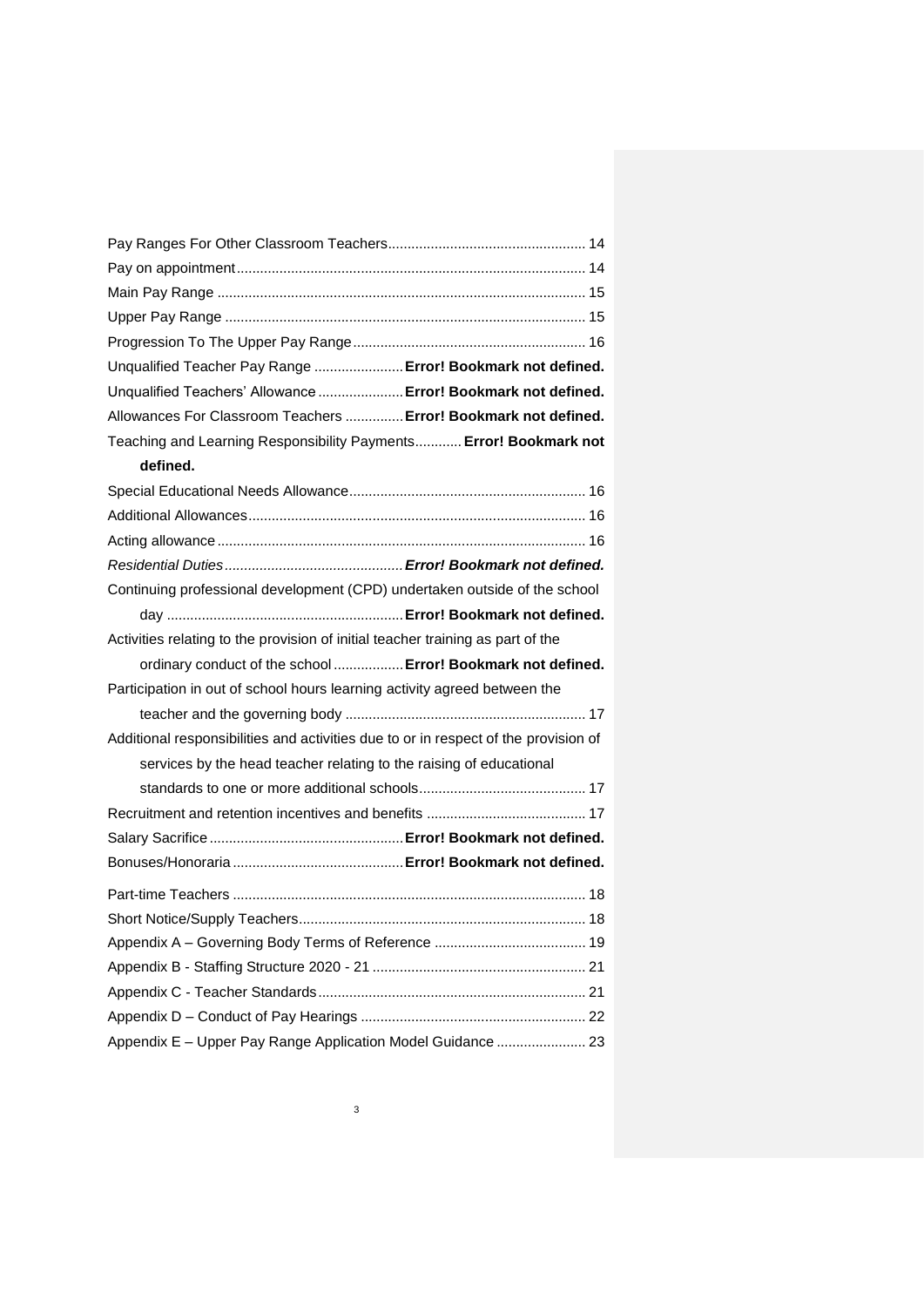| Unqualified Teacher Pay Range  Error! Bookmark not defined.                         |
|-------------------------------------------------------------------------------------|
| Unqualified Teachers' Allowance  Error! Bookmark not defined.                       |
| Allowances For Classroom Teachers  Error! Bookmark not defined.                     |
| Teaching and Learning Responsibility Payments Error! Bookmark not                   |
| defined.                                                                            |
|                                                                                     |
|                                                                                     |
|                                                                                     |
|                                                                                     |
| Continuing professional development (CPD) undertaken outside of the school          |
|                                                                                     |
| Activities relating to the provision of initial teacher training as part of the     |
| ordinary conduct of the school  Error! Bookmark not defined.                        |
| Participation in out of school hours learning activity agreed between the           |
|                                                                                     |
| Additional responsibilities and activities due to or in respect of the provision of |
| services by the head teacher relating to the raising of educational                 |
|                                                                                     |
|                                                                                     |
|                                                                                     |
|                                                                                     |
|                                                                                     |
|                                                                                     |
|                                                                                     |
|                                                                                     |
|                                                                                     |
|                                                                                     |
| Appendix E - Upper Pay Range Application Model Guidance  23                         |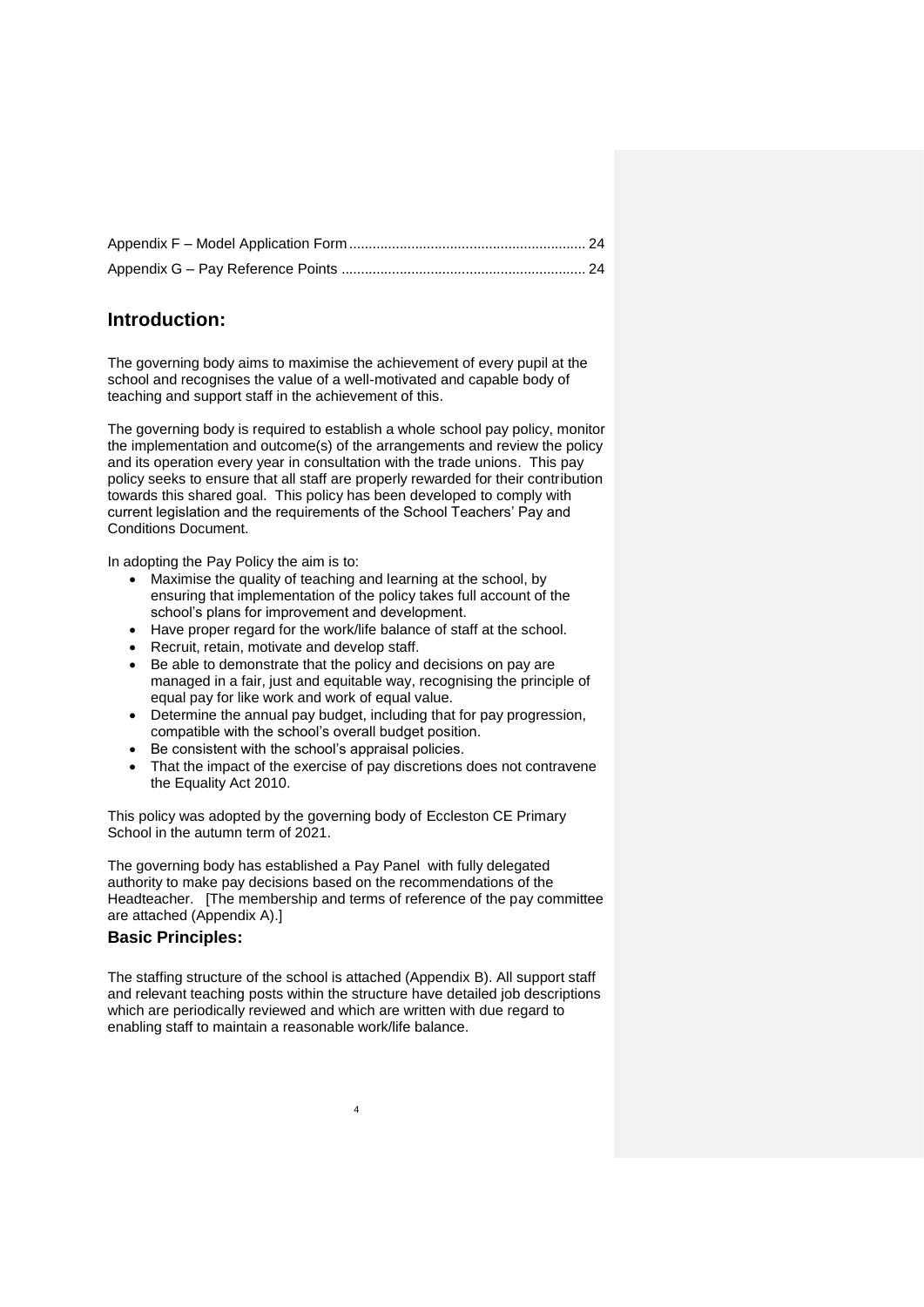# <span id="page-3-0"></span>**Introduction:**

The governing body aims to maximise the achievement of every pupil at the school and recognises the value of a well-motivated and capable body of teaching and support staff in the achievement of this.

The governing body is required to establish a whole school pay policy, monitor the implementation and outcome(s) of the arrangements and review the policy and its operation every year in consultation with the trade unions. This pay policy seeks to ensure that all staff are properly rewarded for their contribution towards this shared goal. This policy has been developed to comply with current legislation and the requirements of the School Teachers' Pay and Conditions Document.

In adopting the Pay Policy the aim is to:

- Maximise the quality of teaching and learning at the school, by ensuring that implementation of the policy takes full account of the school's plans for improvement and development.
- Have proper regard for the work/life balance of staff at the school.
- Recruit, retain, motivate and develop staff.
- Be able to demonstrate that the policy and decisions on pay are managed in a fair, just and equitable way, recognising the principle of equal pay for like work and work of equal value.
- Determine the annual pay budget, including that for pay progression, compatible with the school's overall budget position.
- Be consistent with the school's appraisal policies.
- That the impact of the exercise of pay discretions does not contravene the Equality Act 2010.

This policy was adopted by the governing body of Eccleston CE Primary School in the autumn term of 2021.

The governing body has established a Pay Panel with fully delegated authority to make pay decisions based on the recommendations of the Headteacher. [The membership and terms of reference of the pay committee are attached (Appendix A).]

#### <span id="page-3-1"></span>**Basic Principles:**

The staffing structure of the school is attached (Appendix B). All support staff and relevant teaching posts within the structure have detailed job descriptions which are periodically reviewed and which are written with due regard to enabling staff to maintain a reasonable work/life balance.

4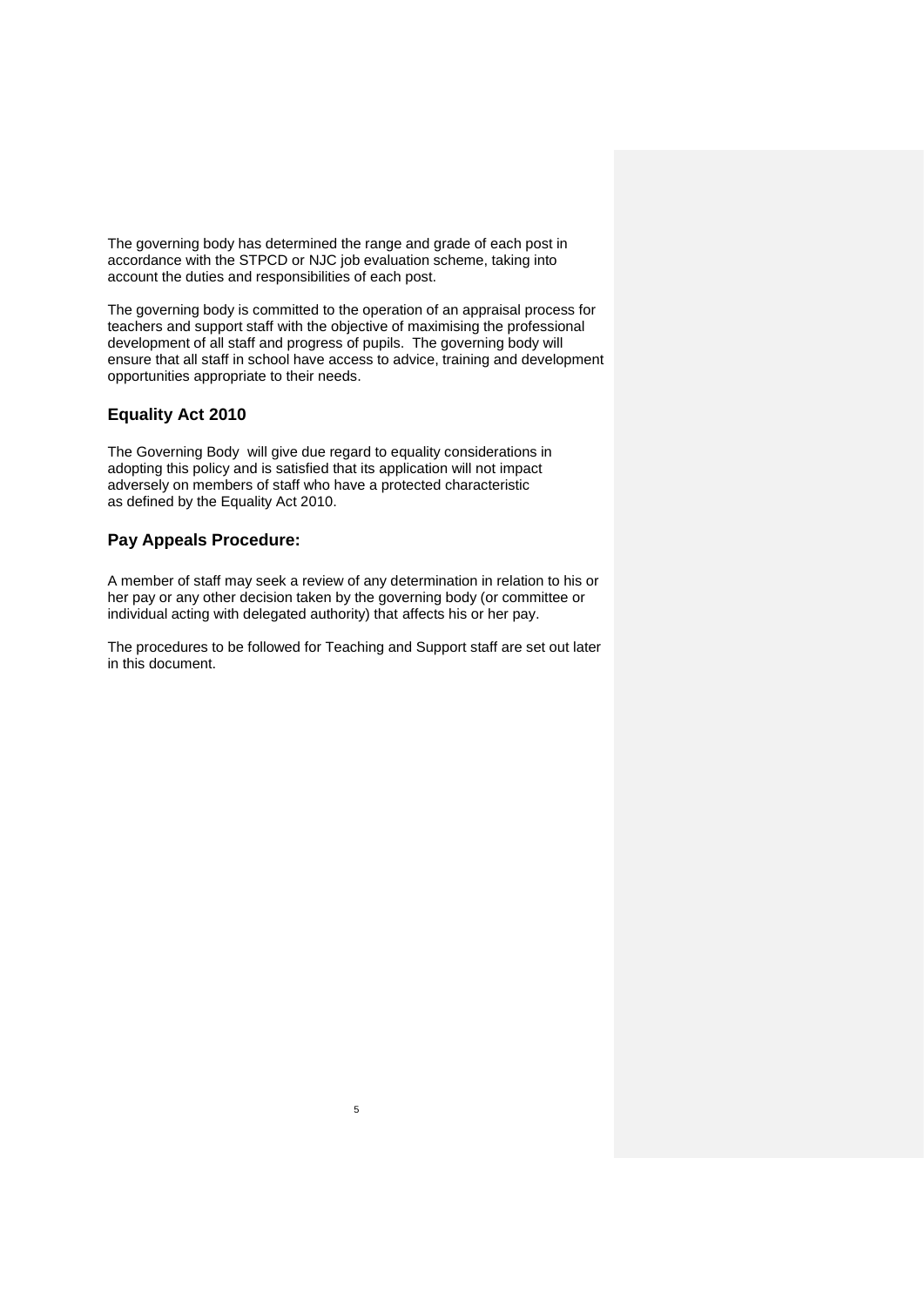The governing body has determined the range and grade of each post in accordance with the STPCD or NJC job evaluation scheme, taking into account the duties and responsibilities of each post.

The governing body is committed to the operation of an appraisal process for teachers and support staff with the objective of maximising the professional development of all staff and progress of pupils. The governing body will ensure that all staff in school have access to advice, training and development opportunities appropriate to their needs.

# <span id="page-4-0"></span>**Equality Act 2010**

The Governing Body will give due regard to equality considerations in adopting this policy and is satisfied that its application will not impact adversely on members of staff who have a protected characteristic as defined by the Equality Act 2010.

### <span id="page-4-1"></span>**Pay Appeals Procedure:**

A member of staff may seek a review of any determination in relation to his or her pay or any other decision taken by the governing body (or committee or individual acting with delegated authority) that affects his or her pay.

The procedures to be followed for Teaching and Support staff are set out later in this document.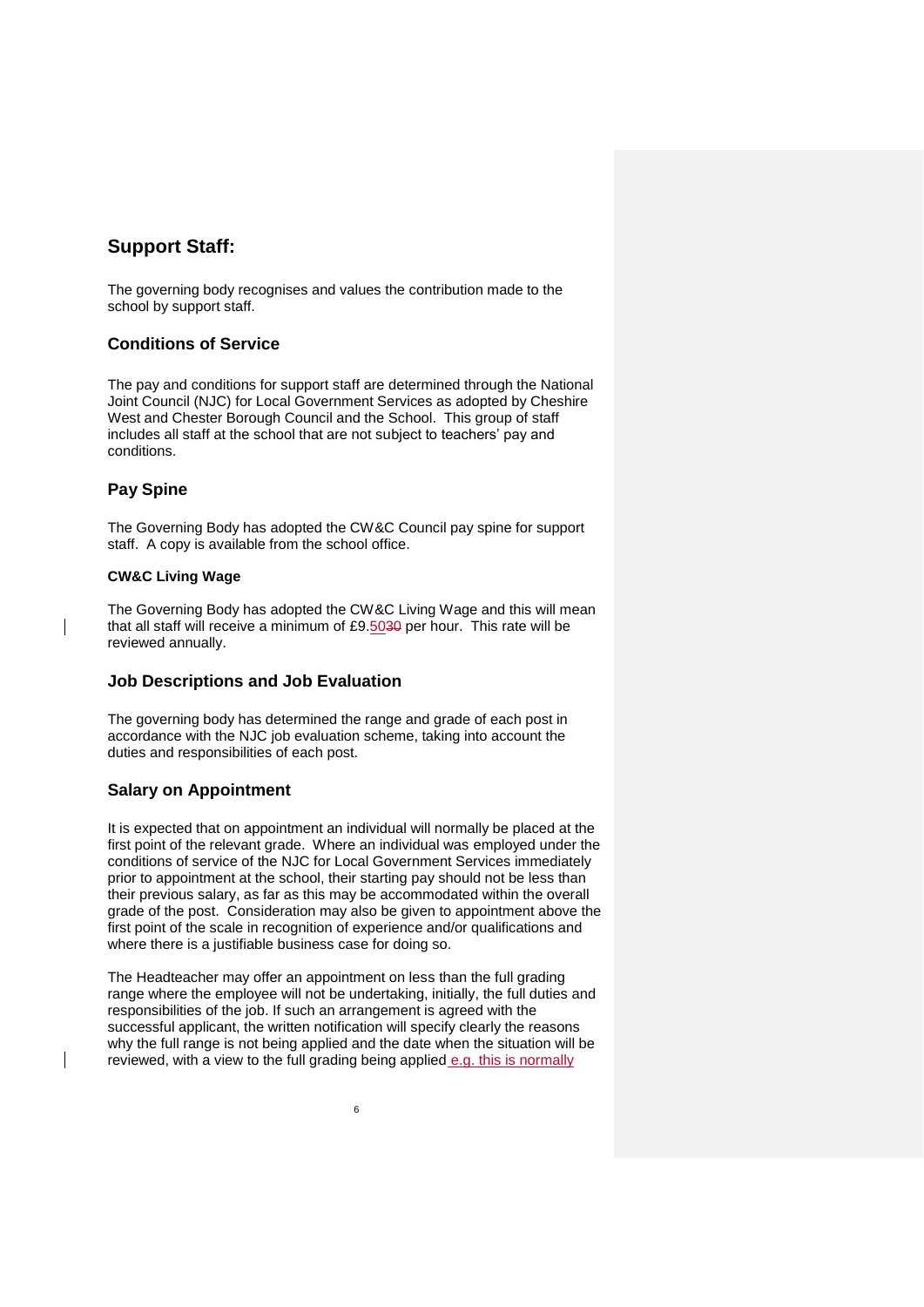# <span id="page-5-0"></span>**Support Staff:**

The governing body recognises and values the contribution made to the school by support staff.

# <span id="page-5-1"></span>**Conditions of Service**

The pay and conditions for support staff are determined through the National Joint Council (NJC) for Local Government Services as adopted by Cheshire West and Chester Borough Council and the School. This group of staff includes all staff at the school that are not subject to teachers' pay and conditions.

# <span id="page-5-2"></span>**Pay Spine**

The Governing Body has adopted the CW&C Council pay spine for support staff. A copy is available from the school office.

#### **CW&C Living Wage**

The Governing Body has adopted the CW&C Living Wage and this will mean that all staff will receive a minimum of £9.5030 per hour. This rate will be reviewed annually.

#### <span id="page-5-3"></span>**Job Descriptions and Job Evaluation**

The governing body has determined the range and grade of each post in accordance with the NJC job evaluation scheme, taking into account the duties and responsibilities of each post.

# <span id="page-5-4"></span>**Salary on Appointment**

It is expected that on appointment an individual will normally be placed at the first point of the relevant grade. Where an individual was employed under the conditions of service of the NJC for Local Government Services immediately prior to appointment at the school, their starting pay should not be less than their previous salary, as far as this may be accommodated within the overall grade of the post. Consideration may also be given to appointment above the first point of the scale in recognition of experience and/or qualifications and where there is a justifiable business case for doing so.

The Headteacher may offer an appointment on less than the full grading range where the employee will not be undertaking, initially, the full duties and responsibilities of the job. If such an arrangement is agreed with the successful applicant, the written notification will specify clearly the reasons why the full range is not being applied and the date when the situation will be reviewed, with a view to the full grading being applied e.g. this is normally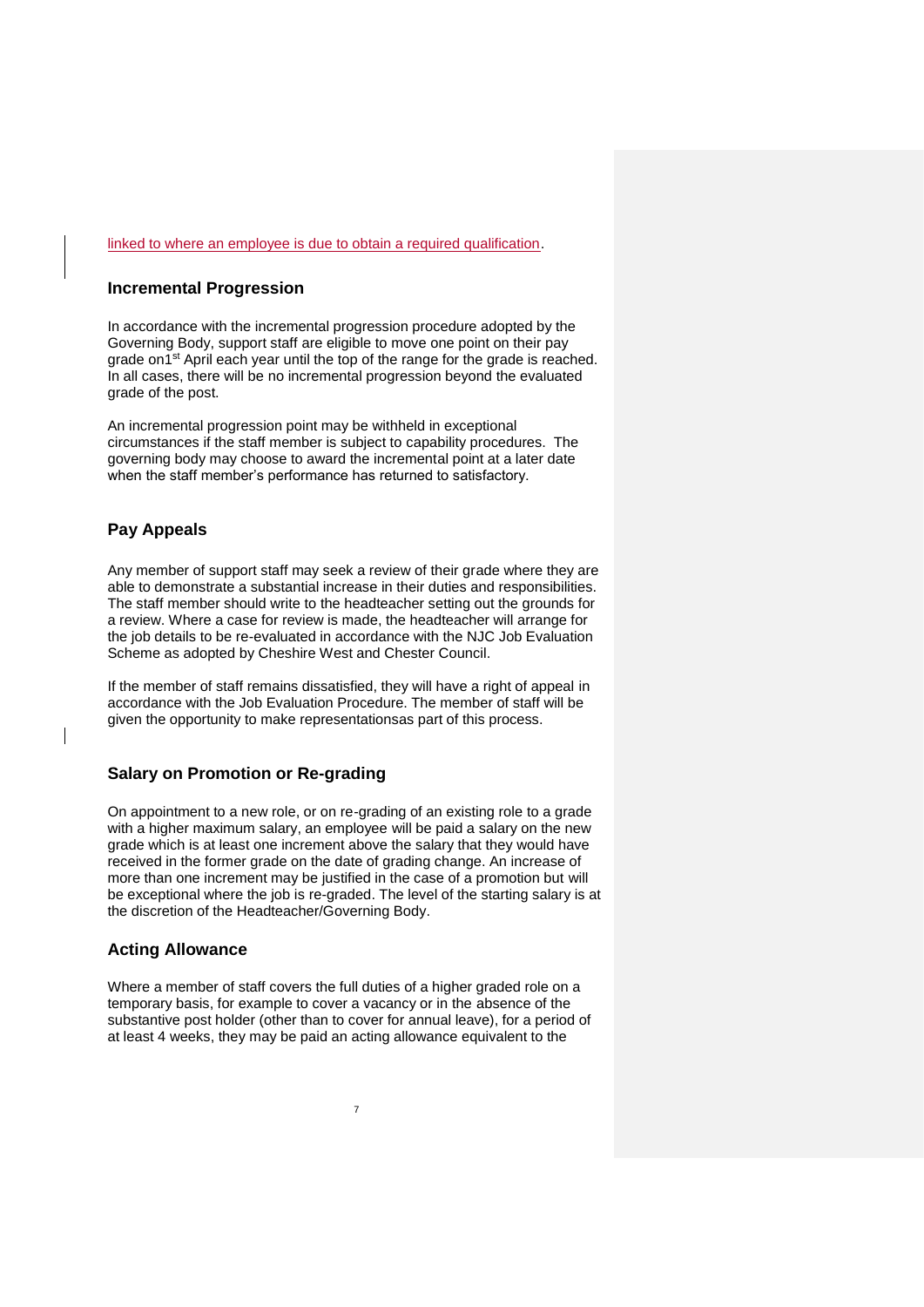#### <span id="page-6-0"></span>linked to where an employee is due to obtain a required qualification.

#### **Incremental Progression**

In accordance with the incremental progression procedure adopted by the Governing Body, support staff are eligible to move one point on their pay grade on1<sup>st</sup> April each year until the top of the range for the grade is reached. In all cases, there will be no incremental progression beyond the evaluated grade of the post.

An incremental progression point may be withheld in exceptional circumstances if the staff member is subject to capability procedures. The governing body may choose to award the incremental point at a later date when the staff member's performance has returned to satisfactory.

### <span id="page-6-1"></span>**Pay Appeals**

Any member of support staff may seek a review of their grade where they are able to demonstrate a substantial increase in their duties and responsibilities. The staff member should write to the headteacher setting out the grounds for a review. Where a case for review is made, the headteacher will arrange for the job details to be re-evaluated in accordance with the NJC Job Evaluation Scheme as adopted by Cheshire West and Chester Council.

If the member of staff remains dissatisfied, they will have a right of appeal in accordance with the Job Evaluation Procedure. The member of staff will be given the opportunity to make representationsas part of this process.

#### <span id="page-6-2"></span>**Salary on Promotion or Re-grading**

On appointment to a new role, or on re-grading of an existing role to a grade with a higher maximum salary, an employee will be paid a salary on the new grade which is at least one increment above the salary that they would have received in the former grade on the date of grading change. An increase of more than one increment may be justified in the case of a promotion but will be exceptional where the job is re-graded. The level of the starting salary is at the discretion of the Headteacher/Governing Body.

#### <span id="page-6-3"></span>**Acting Allowance**

Where a member of staff covers the full duties of a higher graded role on a temporary basis, for example to cover a vacancy or in the absence of the substantive post holder (other than to cover for annual leave), for a period of at least 4 weeks, they may be paid an acting allowance equivalent to the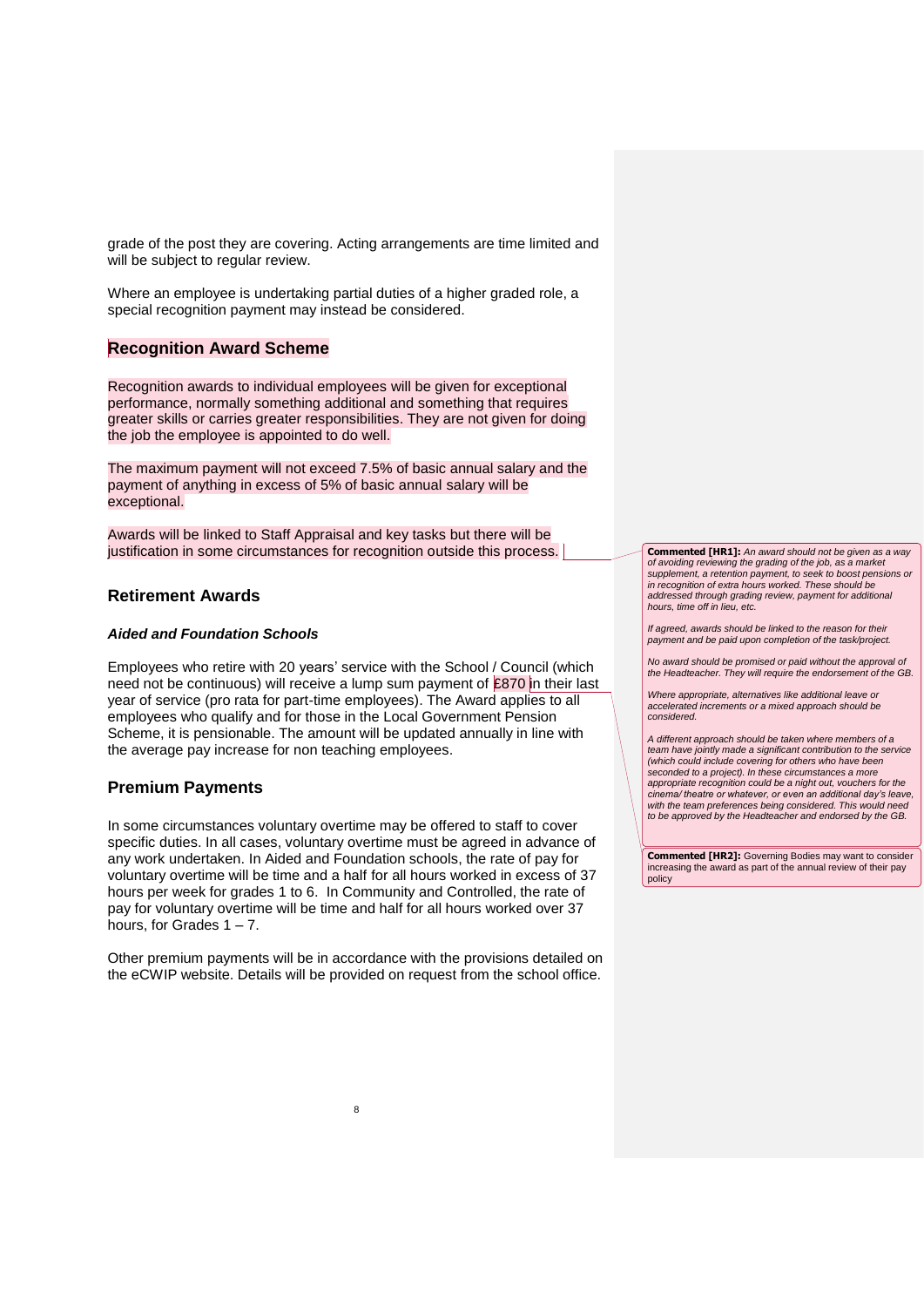grade of the post they are covering. Acting arrangements are time limited and will be subject to regular review.

Where an employee is undertaking partial duties of a higher graded role, a special recognition payment may instead be considered.

# <span id="page-7-0"></span>**Recognition Award Scheme**

Recognition awards to individual employees will be given for exceptional performance, normally something additional and something that requires greater skills or carries greater responsibilities. They are not given for doing the job the employee is appointed to do well.

The maximum payment will not exceed 7.5% of basic annual salary and the payment of anything in excess of 5% of basic annual salary will be exceptional.

Awards will be linked to Staff Appraisal and key tasks but there will be justification in some circumstances for recognition outside this process.

#### <span id="page-7-1"></span>**Retirement Awards**

#### *Aided and Foundation Schools*

Employees who retire with 20 years' service with the School / Council (which need not be continuous) will receive a lump sum payment of  $£870$  in their last year of service (pro rata for part-time employees). The Award applies to all employees who qualify and for those in the Local Government Pension Scheme, it is pensionable. The amount will be updated annually in line with the average pay increase for non teaching employees.

#### <span id="page-7-2"></span>**Premium Payments**

In some circumstances voluntary overtime may be offered to staff to cover specific duties. In all cases, voluntary overtime must be agreed in advance of any work undertaken. In Aided and Foundation schools, the rate of pay for voluntary overtime will be time and a half for all hours worked in excess of 37 hours per week for grades 1 to 6. In Community and Controlled, the rate of pay for voluntary overtime will be time and half for all hours worked over 37 hours, for Grades  $1 - 7$ .

Other premium payments will be in accordance with the provisions detailed on the eCWIP website. Details will be provided on request from the school office.

**Commented [HR1]:** *An award should not be given as a way of avoiding reviewing the grading of the job, as a market supplement, a retention payment, to seek to boost pensions or in recognition of extra hours worked. These should be addressed through grading review, payment for additional hours, time off in lieu, etc.*

*If agreed, awards should be linked to the reason for their payment and be paid upon completion of the task/project.*

*No award should be promised or paid without the approval of the Headteacher. They will require the endorsement of the GB.* 

*Where appropriate, alternatives like additional leave or accelerated increments or a mixed approach should be considered.*

*A different approach should be taken where members of a team have jointly made a significant contribution to the service (which could include covering for others who have been seconded to a project). In these circumstances a more appropriate recognition could be a night out, vouchers for the cinema/ theatre or whatever, or even an additional day's leave, with the team preferences being considered. This would need to be approved by the Headteacher and endorsed by the GB.* 

**Commented [HR2]:** Governing Bodies may want to consider increasing the award as part of the annual review of their pay policy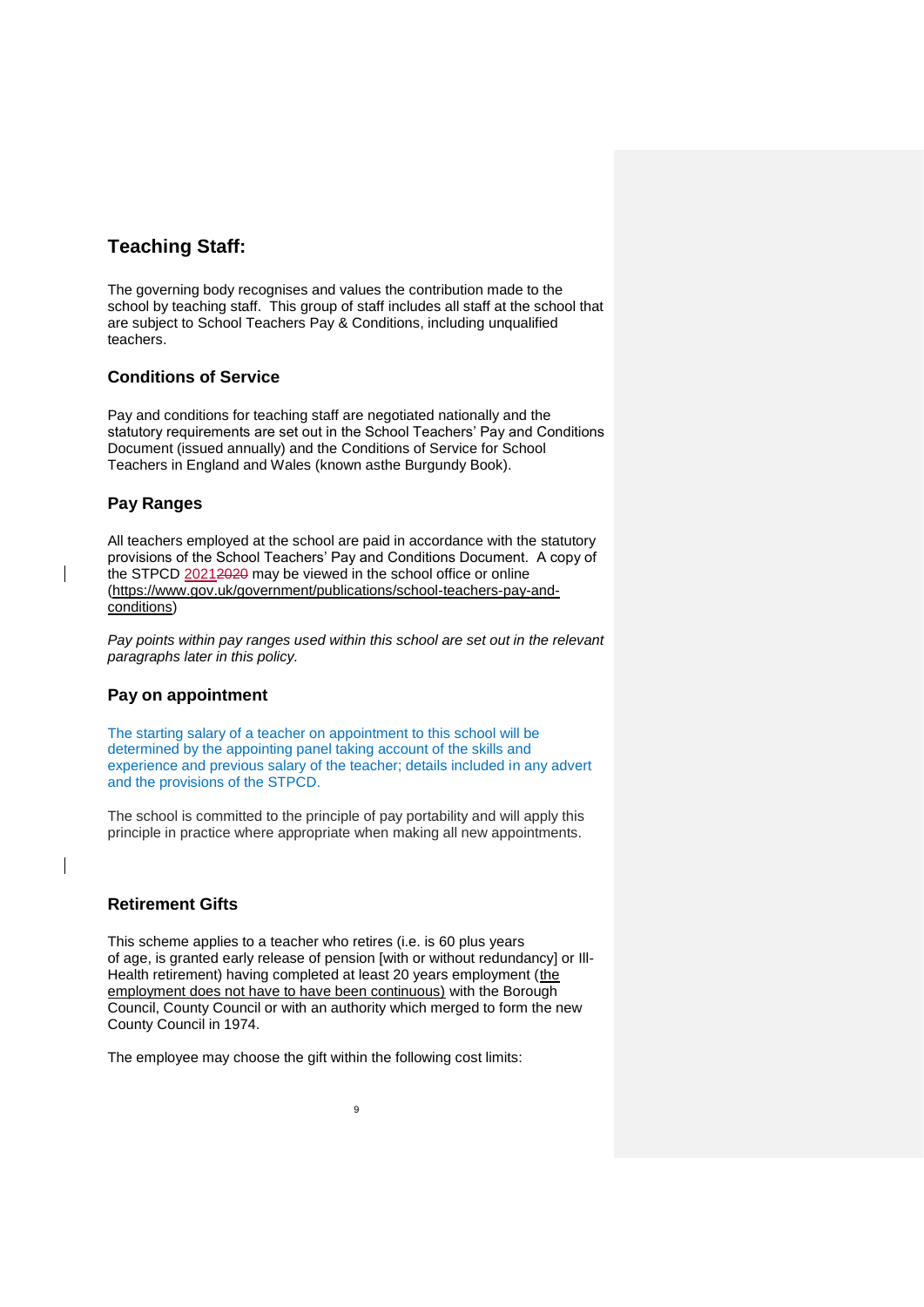# <span id="page-8-0"></span>**Teaching Staff:**

The governing body recognises and values the contribution made to the school by teaching staff. This group of staff includes all staff at the school that are subject to School Teachers Pay & Conditions, including unqualified teachers.

### <span id="page-8-1"></span>**Conditions of Service**

Pay and conditions for teaching staff are negotiated nationally and the statutory requirements are set out in the School Teachers' Pay and Conditions Document (issued annually) and the Conditions of Service for School Teachers in England and Wales (known asthe Burgundy Book).

# <span id="page-8-2"></span>**Pay Ranges**

All teachers employed at the school are paid in accordance with the statutory provisions of the School Teachers' Pay and Conditions Document. A copy of the STPCD 20212020 may be viewed in the school office or online [\(https://www.gov.uk/government/publications/school-teachers-pay-and](https://www.gov.uk/government/publications/school-teachers-pay-and-conditions)[conditions\)](https://www.gov.uk/government/publications/school-teachers-pay-and-conditions)

*Pay points within pay ranges used within this school are set out in the relevant paragraphs later in this policy.*

#### **Pay on appointment**

The starting salary of a teacher on appointment to this school will be determined by the appointing panel taking account of the skills and experience and previous salary of the teacher; details included in any advert and the provisions of the STPCD.

The school is committed to the principle of pay portability and will apply this principle in practice where appropriate when making all new appointments.

#### <span id="page-8-3"></span>**Retirement Gifts**

This scheme applies to a teacher who retires (i.e. is 60 plus years of age, is granted early release of pension [with or without redundancy] or Ill-Health retirement) having completed at least 20 years employment (the employment does not have to have been continuous) with the Borough Council, County Council or with an authority which merged to form the new County Council in 1974.

The employee may choose the gift within the following cost limits: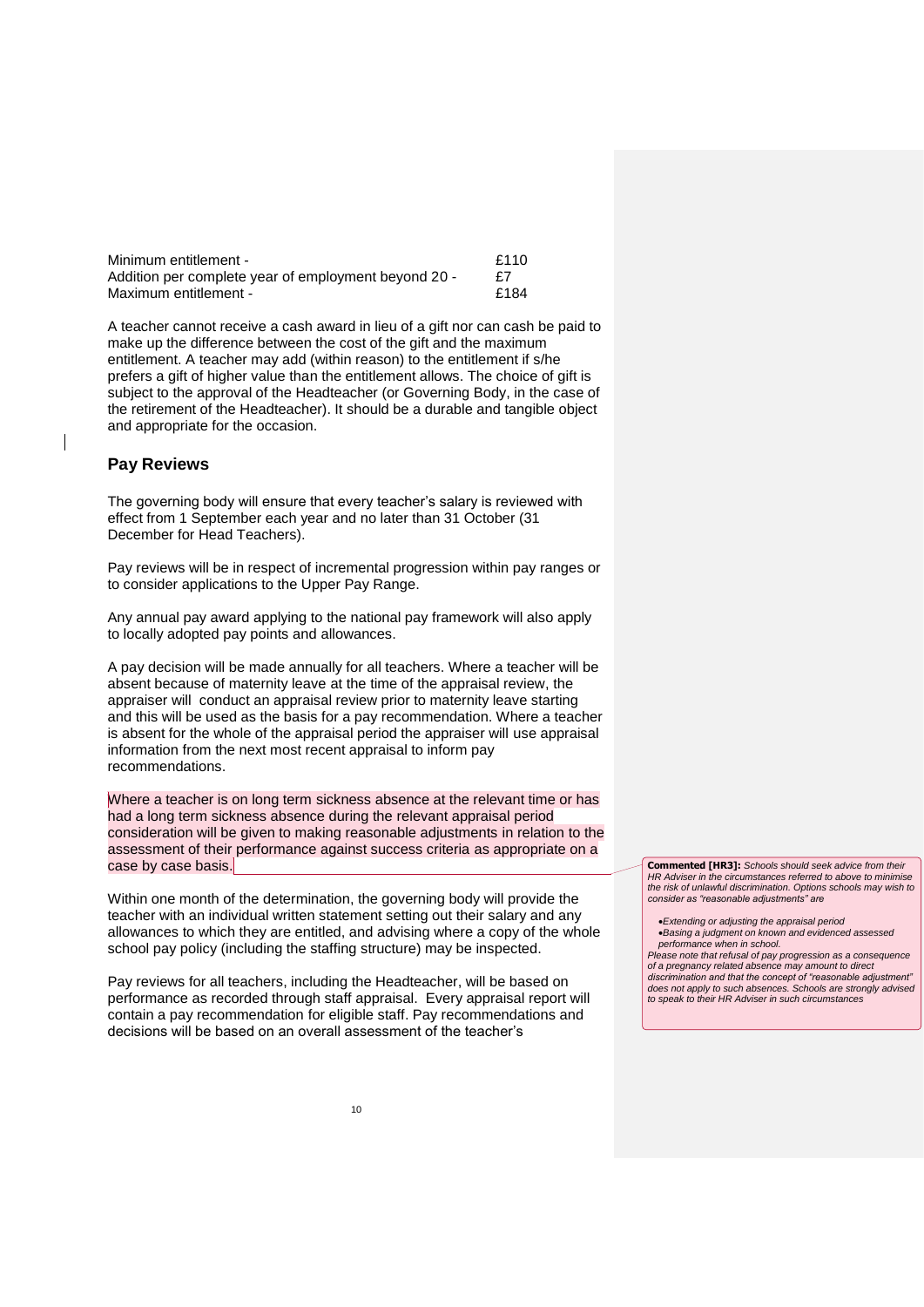| Minimum entitlement -                                | £110 |
|------------------------------------------------------|------|
| Addition per complete year of employment beyond 20 - |      |
| Maximum entitlement -                                | £184 |

A teacher cannot receive a cash award in lieu of a gift nor can cash be paid to make up the difference between the cost of the gift and the maximum entitlement. A teacher may add (within reason) to the entitlement if s/he prefers a gift of higher value than the entitlement allows. The choice of gift is subject to the approval of the Headteacher (or Governing Body, in the case of the retirement of the Headteacher). It should be a durable and tangible object and appropriate for the occasion.

#### <span id="page-9-0"></span>**Pay Reviews**

The governing body will ensure that every teacher's salary is reviewed with effect from 1 September each year and no later than 31 October (31 December for Head Teachers).

Pay reviews will be in respect of incremental progression within pay ranges or to consider applications to the Upper Pay Range.

Any annual pay award applying to the national pay framework will also apply to locally adopted pay points and allowances.

A pay decision will be made annually for all teachers. Where a teacher will be absent because of maternity leave at the time of the appraisal review, the appraiser will conduct an appraisal review prior to maternity leave starting and this will be used as the basis for a pay recommendation. Where a teacher is absent for the whole of the appraisal period the appraiser will use appraisal information from the next most recent appraisal to inform pay recommendations.

Where a teacher is on long term sickness absence at the relevant time or has had a long term sickness absence during the relevant appraisal period consideration will be given to making reasonable adjustments in relation to the assessment of their performance against success criteria as appropriate on a case by case basis.

Within one month of the determination, the governing body will provide the teacher with an individual written statement setting out their salary and any allowances to which they are entitled, and advising where a copy of the whole school pay policy (including the staffing structure) may be inspected.

Pay reviews for all teachers, including the Headteacher, will be based on performance as recorded through staff appraisal. Every appraisal report will contain a pay recommendation for eligible staff. Pay recommendations and decisions will be based on an overall assessment of the teacher's

**Commented [HR3]:** *Schools should seek advice from their HR Adviser in the circumstances referred to above to minimise the risk of unlawful discrimination. Options schools may wish to consider as "reasonable adjustments" are* 

*Extending or adjusting the appraisal period Basing a judgment on known and evidenced assessed performance when in school.*

*Please note that refusal of pay progression as a consequence of a pregnancy related absence may amount to direct discrimination and that the concept of "reasonable adjustment"* 

*does not apply to such absences. Schools are strongly advised to speak to their HR Adviser in such circumstances*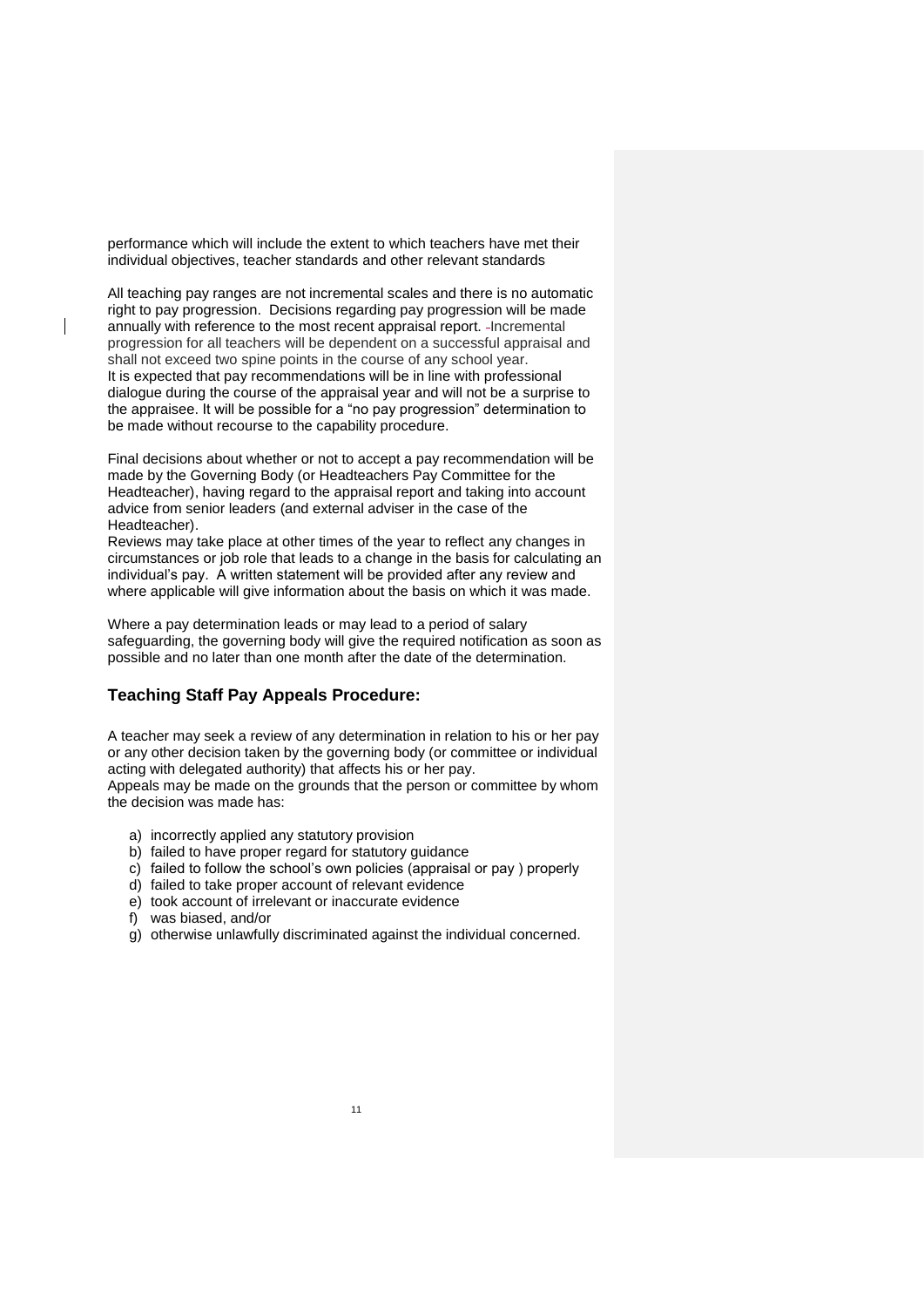performance which will include the extent to which teachers have met their individual objectives, teacher standards and other relevant standards

All teaching pay ranges are not incremental scales and there is no automatic right to pay progression. Decisions regarding pay progression will be made annually with reference to the most recent appraisal report. Incremental progression for all teachers will be dependent on a successful appraisal and shall not exceed two spine points in the course of any school year. It is expected that pay recommendations will be in line with professional dialogue during the course of the appraisal year and will not be a surprise to the appraisee. It will be possible for a "no pay progression" determination to be made without recourse to the capability procedure.

Final decisions about whether or not to accept a pay recommendation will be made by the Governing Body (or Headteachers Pay Committee for the Headteacher), having regard to the appraisal report and taking into account advice from senior leaders (and external adviser in the case of the Headteacher).

Reviews may take place at other times of the year to reflect any changes in circumstances or job role that leads to a change in the basis for calculating an individual's pay. A written statement will be provided after any review and where applicable will give information about the basis on which it was made.

Where a pay determination leads or may lead to a period of salary safeguarding, the governing body will give the required notification as soon as possible and no later than one month after the date of the determination.

#### <span id="page-10-0"></span>**Teaching Staff Pay Appeals Procedure:**

A teacher may seek a review of any determination in relation to his or her pay or any other decision taken by the governing body (or committee or individual acting with delegated authority) that affects his or her pay.

Appeals may be made on the grounds that the person or committee by whom the decision was made has:

- a) incorrectly applied any statutory provision
- b) failed to have proper regard for statutory guidance
- c) failed to follow the school's own policies (appraisal or pay ) properly
- d) failed to take proper account of relevant evidence
- e) took account of irrelevant or inaccurate evidence
- f) was biased, and/or
- g) otherwise unlawfully discriminated against the individual concerned.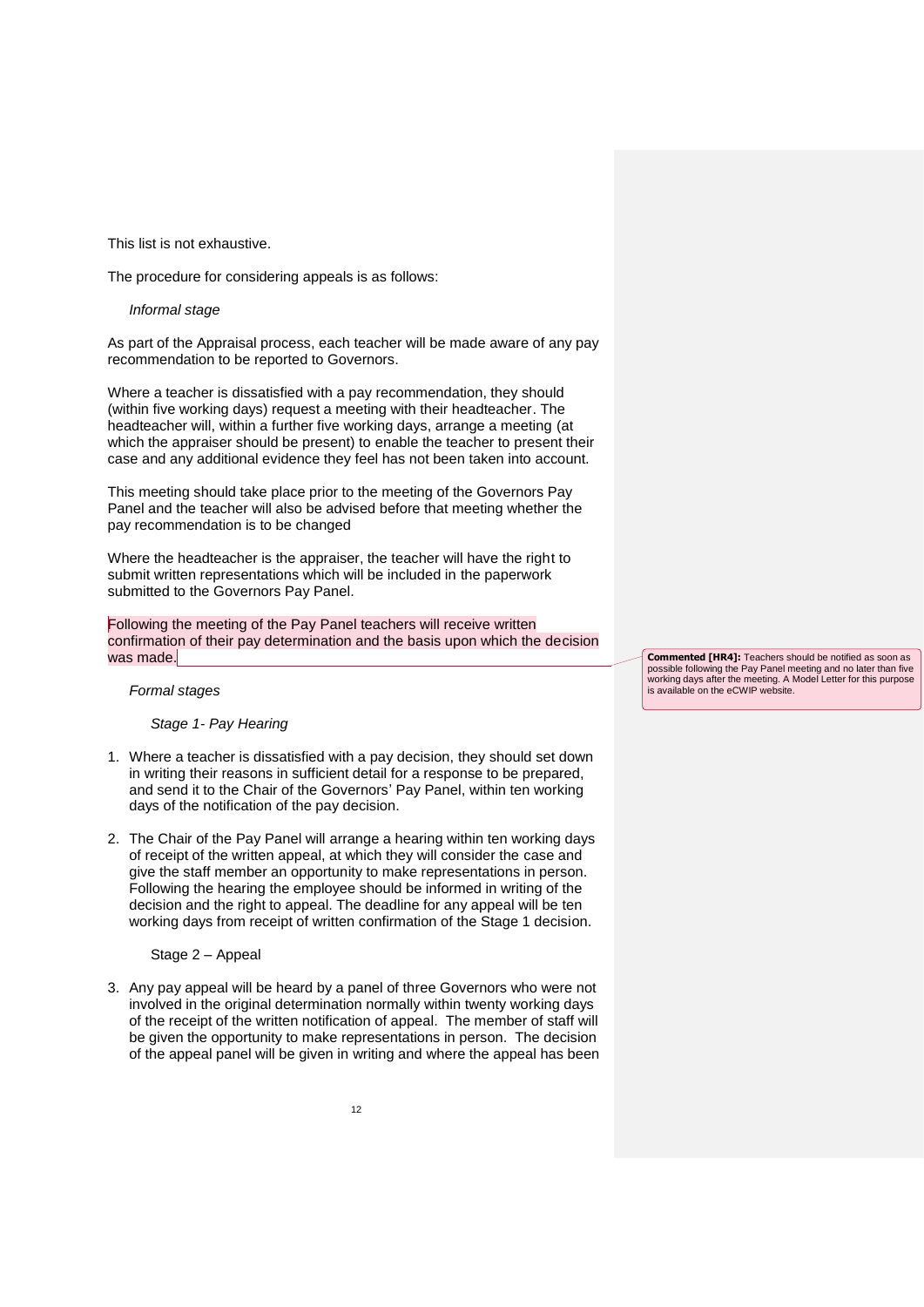This list is not exhaustive.

The procedure for considering appeals is as follows:

#### *Informal stage*

As part of the Appraisal process, each teacher will be made aware of any pay recommendation to be reported to Governors.

Where a teacher is dissatisfied with a pay recommendation, they should (within five working days) request a meeting with their headteacher. The headteacher will, within a further five working days, arrange a meeting (at which the appraiser should be present) to enable the teacher to present their case and any additional evidence they feel has not been taken into account.

This meeting should take place prior to the meeting of the Governors Pay Panel and the teacher will also be advised before that meeting whether the pay recommendation is to be changed

Where the headteacher is the appraiser, the teacher will have the right to submit written representations which will be included in the paperwork submitted to the Governors Pay Panel.

Following the meeting of the Pay Panel teachers will receive written confirmation of their pay determination and the basis upon which the decision was made.

*Formal stages*

*Stage 1- Pay Hearing*

- 1. Where a teacher is dissatisfied with a pay decision, they should set down in writing their reasons in sufficient detail for a response to be prepared, and send it to the Chair of the Governors' Pay Panel, within ten working days of the notification of the pay decision.
- 2. The Chair of the Pay Panel will arrange a hearing within ten working days of receipt of the written appeal, at which they will consider the case and give the staff member an opportunity to make representations in person. Following the hearing the employee should be informed in writing of the decision and the right to appeal. The deadline for any appeal will be ten working days from receipt of written confirmation of the Stage 1 decision.

#### Stage 2 – Appeal

3. Any pay appeal will be heard by a panel of three Governors who were not involved in the original determination normally within twenty working days of the receipt of the written notification of appeal. The member of staff will be given the opportunity to make representations in person. The decision of the appeal panel will be given in writing and where the appeal has been **Commented [HR4]:** Teachers should be notified as soon as possible following the Pay Panel meeting and no later than five working days after the meeting. A Model Letter for this purpose is available on the eCWIP website.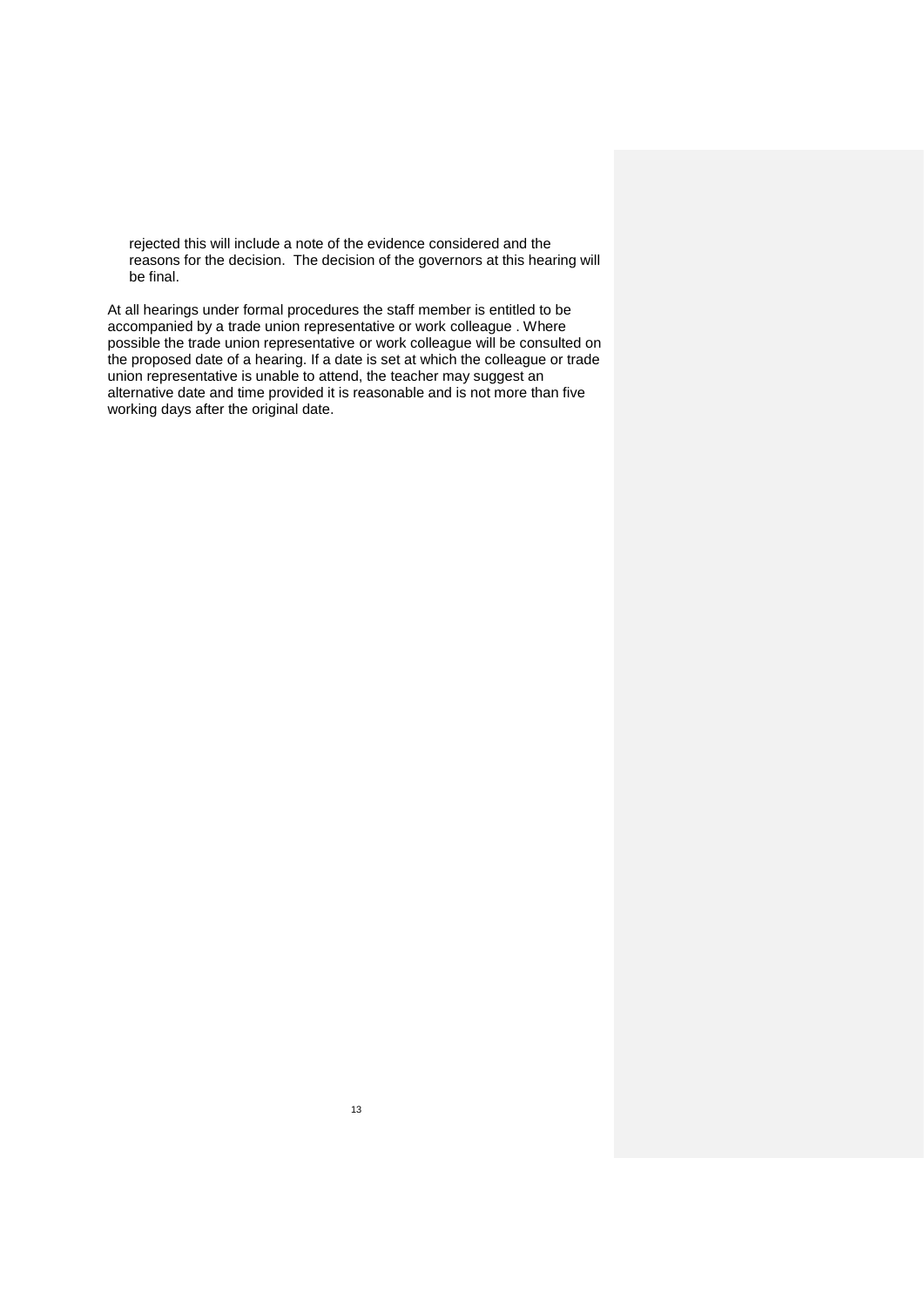rejected this will include a note of the evidence considered and the reasons for the decision. The decision of the governors at this hearing will be final.

At all hearings under formal procedures the staff member is entitled to be accompanied by a trade union representative or work colleague . Where possible the trade union representative or work colleague will be consulted on the proposed date of a hearing. If a date is set at which the colleague or trade union representative is unable to attend, the teacher may suggest an alternative date and time provided it is reasonable and is not more than five working days after the original date.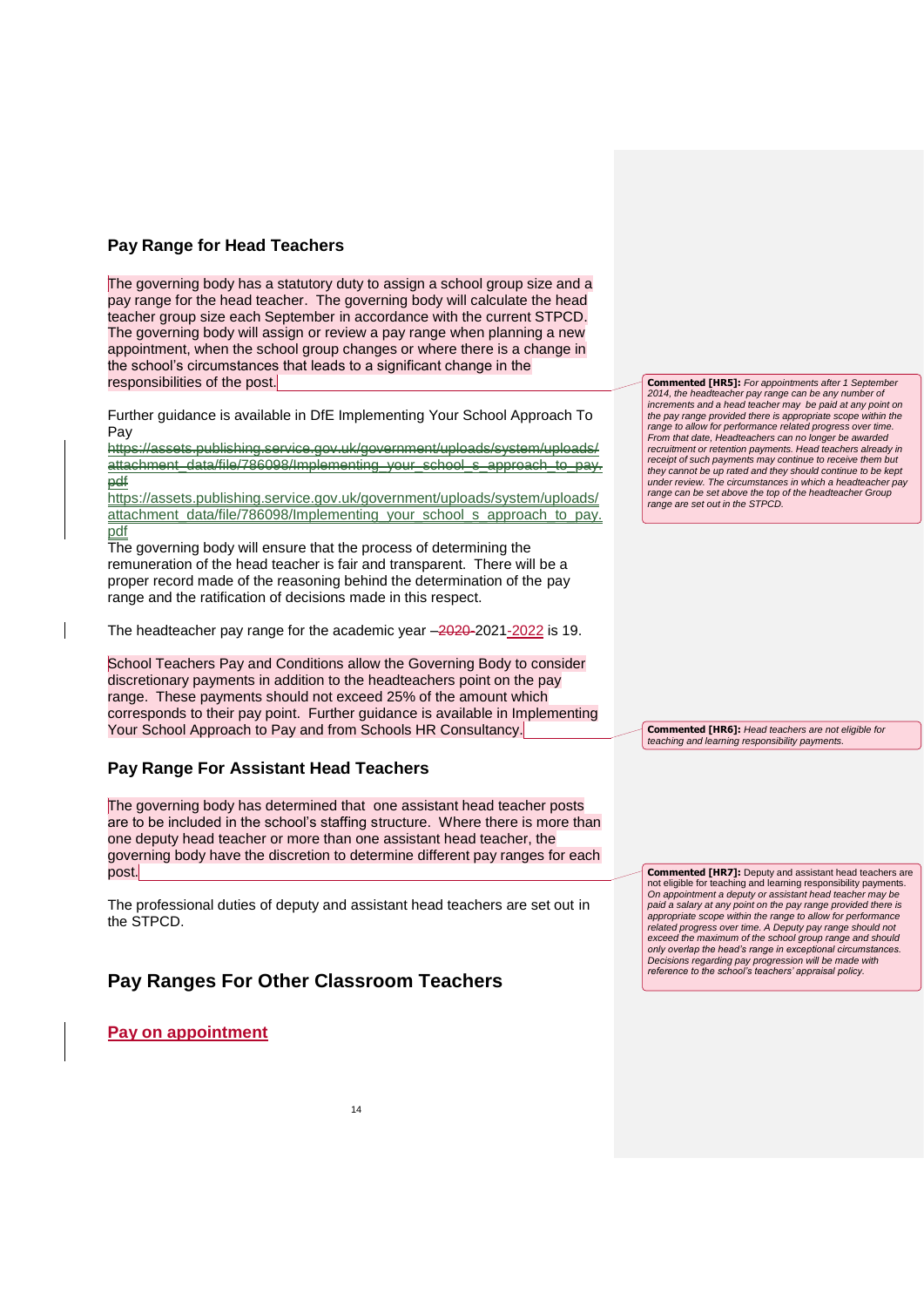# <span id="page-13-0"></span>**Pay Range for Head Teachers**

The governing body has a statutory duty to assign a school group size and a pay range for the head teacher. The governing body will calculate the head teacher group size each September in accordance with the current STPCD. The governing body will assign or review a pay range when planning a new appointment, when the school group changes or where there is a change in the school's circumstances that leads to a significant change in the responsibilities of the post.

Further guidance is available in DfE Implementing Your School Approach To Pay

https://assets.publiching.service.gov.uk/gevernment/uploads/system/uploads/ [attachment\\_data/file/786098/Implementing\\_your\\_school\\_s\\_approach\\_to\\_pay.](https://assets.publishing.service.gov.uk/government/uploads/system/uploads/attachment_data/file/786098/Implementing_your_school_s_approach_to_pay.pdf) [pdf](https://assets.publishing.service.gov.uk/government/uploads/system/uploads/attachment_data/file/786098/Implementing_your_school_s_approach_to_pay.pdf)

[https://assets.publishing.service.gov.uk/government/uploads/system/uploads/](https://assets.publishing.service.gov.uk/government/uploads/system/uploads/attachment_data/file/786098/Implementing_your_school_s_approach_to_pay.pdf) [attachment\\_data/file/786098/Implementing\\_your\\_school\\_s\\_approach\\_to\\_pay.](https://assets.publishing.service.gov.uk/government/uploads/system/uploads/attachment_data/file/786098/Implementing_your_school_s_approach_to_pay.pdf) [pdf](https://assets.publishing.service.gov.uk/government/uploads/system/uploads/attachment_data/file/786098/Implementing_your_school_s_approach_to_pay.pdf)

The governing body will ensure that the process of determining the remuneration of the head teacher is fair and transparent. There will be a proper record made of the reasoning behind the determination of the pay range and the ratification of decisions made in this respect.

The headteacher pay range for the academic year –2020-2021-2022 is 19.

School Teachers Pay and Conditions allow the Governing Body to consider discretionary payments in addition to the headteachers point on the pay range. These payments should not exceed 25% of the amount which corresponds to their pay point. Further guidance is available in Implementing Your School Approach to Pay and from Schools HR Consultancy.

# <span id="page-13-1"></span>**Pay Range For Assistant Head Teachers**

The governing body has determined that one assistant head teacher posts are to be included in the school's staffing structure.Where there is more than one deputy head teacher or more than one assistant head teacher, the governing body have the discretion to determine different pay ranges for each post.

The professional duties of deputy and assistant head teachers are set out in the STPCD.

# <span id="page-13-2"></span>**Pay Ranges For Other Classroom Teachers**

# <span id="page-13-3"></span>**Pay on appointment**

**Commented [HR5]:** For appointments after 1 September *2014, the headteacher pay range can be any number of increments and a head teacher may be paid at any point on the pay range provided there is appropriate scope within the range to allow for performance related progress over time. From that date, Headteachers can no longer be awarded recruitment or retention payments. Head teachers already in receipt of such payments may continue to receive them but they cannot be up rated and they should continue to be kept under review. The circumstances in which a headteacher pay range can be set above the top of the headteacher Group range are set out in the STPCD.* 

**Commented [HR6]:** *Head teachers are not eligible for teaching and learning responsibility payments.*

**Commented [HR7]:** Deputy and assistant head teachers are not eligible for teaching and learning responsibility payments. *On appointment a deputy or assistant head teacher may be paid a salary at any point on the pay range provided there is appropriate scope within the range to allow for performance related progress over time. A Deputy pay range should not exceed the maximum of the school group range and should only overlap the head's range in exceptional circumstances. Decisions regarding pay progression will be made with reference to the school's teachers' appraisal policy.*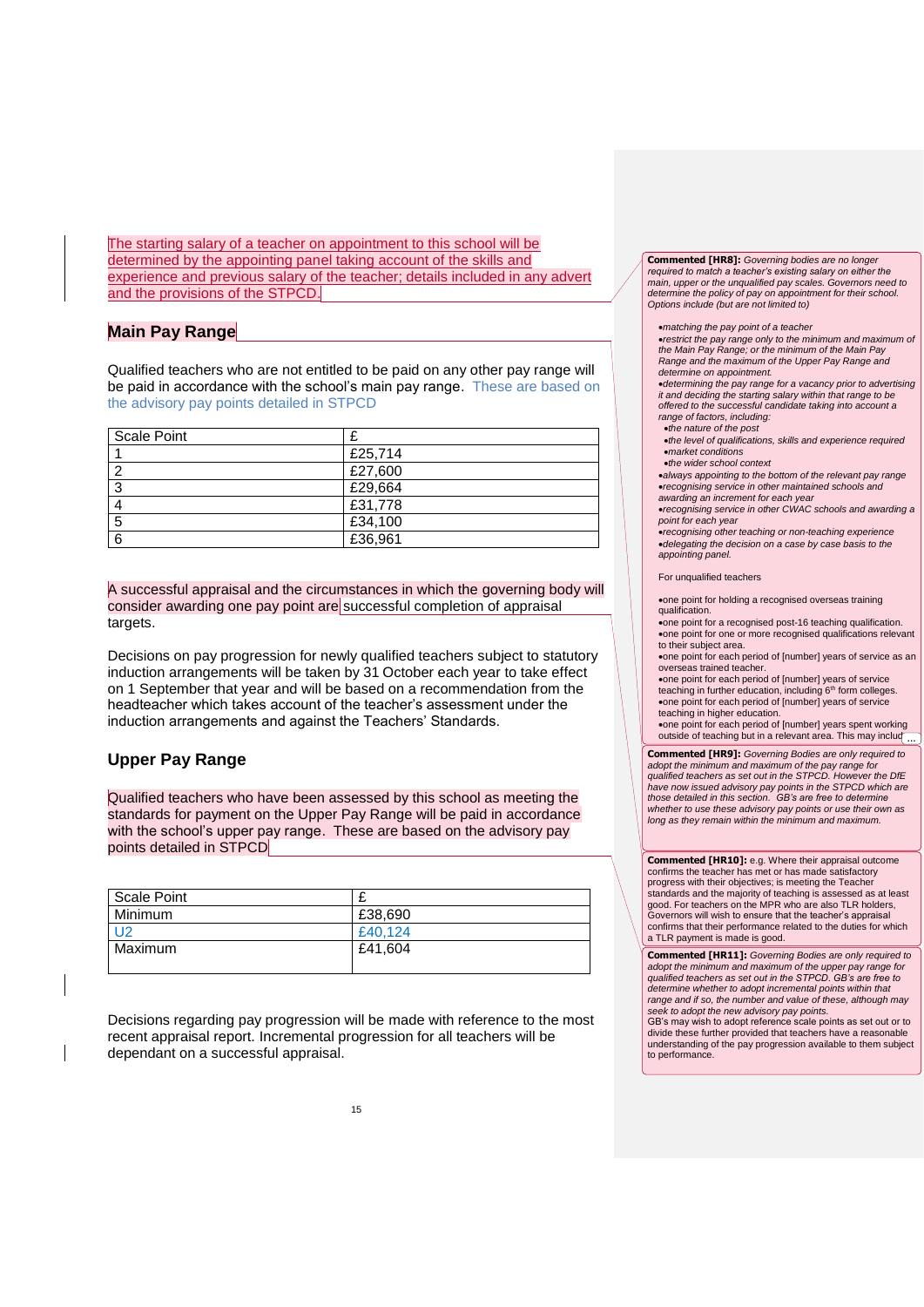The starting salary of a teacher on appointment to this school will be determined by the appointing panel taking account of the skills and experience and previous salary of the teacher; details included in any advert and the provisions of the STPCD.

### <span id="page-14-0"></span>**Main Pay Range**

Qualified teachers who are not entitled to be paid on any other pay range will be paid in accordance with the school's main pay range. These are based on the advisory pay points detailed in STPCD

| <b>Scale Point</b> |         |
|--------------------|---------|
|                    | £25,714 |
|                    | £27,600 |
| o                  | £29,664 |
|                    | £31,778 |
| 5                  | £34,100 |
| 6                  | £36,961 |

A successful appraisal and the circumstances in which the governing body will consider awarding one pay point are successful completion of appraisal targets.

Decisions on pay progression for newly qualified teachers subject to statutory induction arrangements will be taken by 31 October each year to take effect on 1 September that year and will be based on a recommendation from the headteacher which takes account of the teacher's assessment under the induction arrangements and against the Teachers' Standards.

#### <span id="page-14-1"></span>**Upper Pay Range**

Qualified teachers who have been assessed by this school as meeting the standards for payment on the Upper Pay Range will be paid in accordance with the school's upper pay range. These are based on the advisory pay points detailed in STPCD

| Scale Point    |         |
|----------------|---------|
| Minimum        | £38,690 |
| U <sub>2</sub> | £40.124 |
| Maximum        | £41,604 |
|                |         |

Decisions regarding pay progression will be made with reference to the most recent appraisal report. Incremental progression for all teachers will be dependant on a successful appraisal.

**Commented [HR8]:** Governing bodies are no longe *required to match a teacher's existing salary on either the main, upper or the unqualified pay scales. Governors need to determine the policy of pay on appointment for their school. Options include (but are not limited to)* 

- *matching the pay point of a teacher*
- *restrict the pay range only to the minimum and maximum of the Main Pay Range; or the minimum of the Main Pay Range and the maximum of the Upper Pay Range and determine on appointment.*
- *determining the pay range for a vacancy prior to advertising it and deciding the starting salary within that range to be offered to the successful candidate taking into account a range of factors, including:*
- *the nature of the post*
- *the level of qualifications, skills and experience required market conditions*
- *the wider school context*
- *always appointing to the bottom of the relevant pay range recognising service in other maintained schools and awarding an increment for each year*
- *recognising service in other CWAC schools and awarding a*
- *point for each year recognising other teaching or non-teaching experience delegating the decision on a case by case basis to the appointing panel.*

#### For unqualified teachers

- one point for holding a recognised overseas training qualification.
- one point for a recognised post-16 teaching qualification. one point for one or more recognised qualifications relevant to their subject area.
- one point for each period of [number] years of service as an overseas trained teacher.
- one point for each period of [number] years of service teaching in further education, including 6<sup>th</sup> form colleges. one point for each period of [number] years of service teaching in higher education.
- one point for each period of [number] years spent working<br>outside of teaching but in a relevant area. This may incluq
- **Commented [HR9]:** *Governing Bodies are only required to adopt the minimum and maximum of the pay range for qualified teachers as set out in the STPCD. However the DfE have now issued advisory pay points in the STPCD which are those detailed in this section. GB's are free to determine whether to use these advisory pay points or use their own as long as they remain within the minimum and maximum.*

**Commented [HR10]:** e.g. Where their appraisal outcome confirms the teacher has met or has made satisfactory progress with their objectives; is meeting the Teacher standards and the majority of teaching is assessed as at least good. For teachers on the MPR who are also TLR holders, Governors will wish to ensure that the teacher's appraisal confirms that their performance related to the duties for which a TLR payment is made is good.

**Commented [HR11]:** *Governing Bodies are only required to adopt the minimum and maximum of the upper pay range for qualified teachers as set out in the STPCD. GB's are free to determine whether to adopt incremental points within that range and if so, the number and value of these, although may seek to adopt the new advisory pay points.*

GB's may wish to adopt reference scale points as set out or to divide these further provided that teachers have a reasonable understanding of the pay progression available to them subject to performance.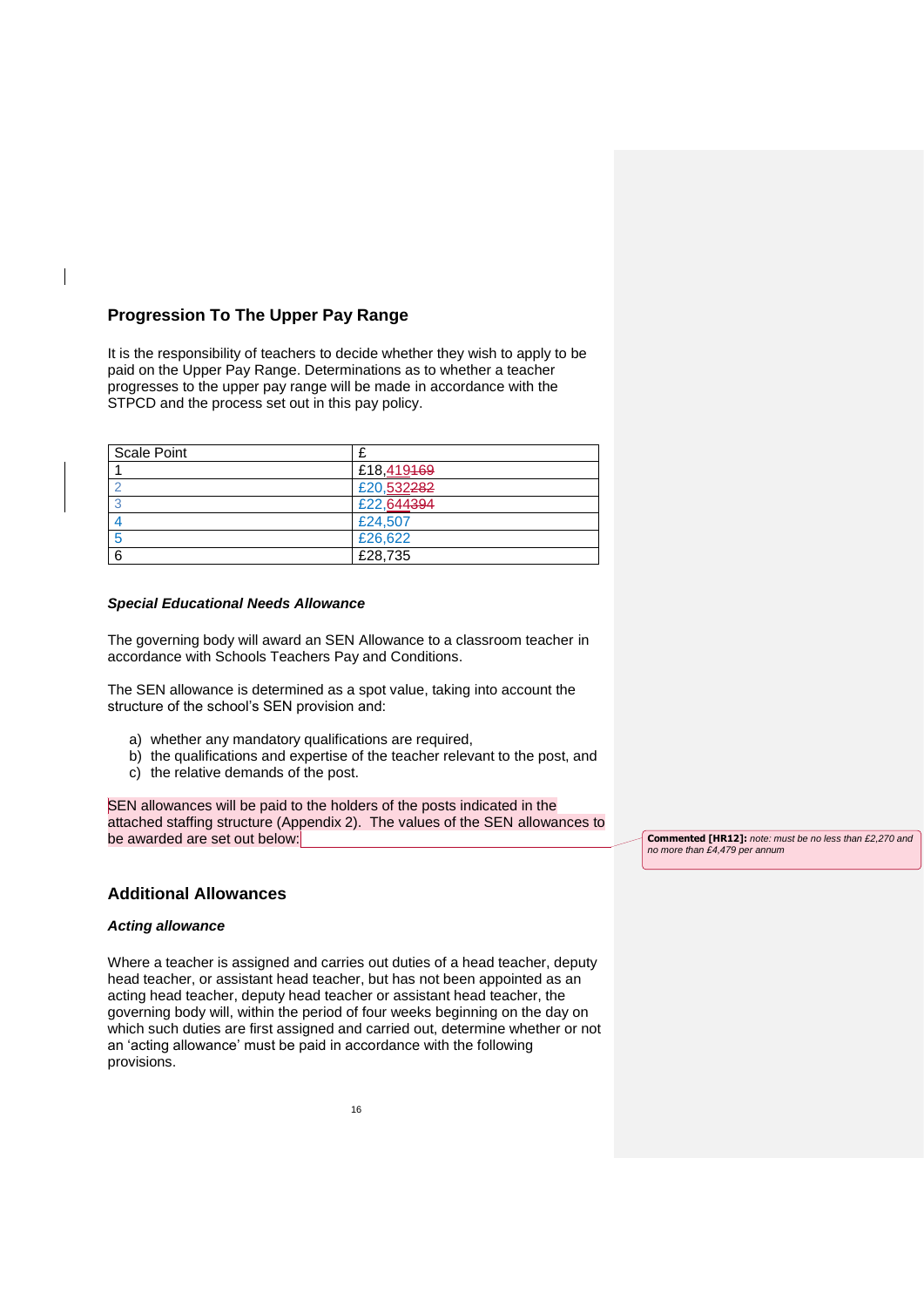# <span id="page-15-0"></span>**Progression To The Upper Pay Range**

It is the responsibility of teachers to decide whether they wish to apply to be paid on the Upper Pay Range. Determinations as to whether a teacher progresses to the upper pay range will be made in accordance with the STPCD and the process set out in this pay policy.

| <b>Scale Point</b> |            |  |
|--------------------|------------|--|
|                    | £18,419469 |  |
|                    | £20,532282 |  |
|                    | £22,644394 |  |
|                    | £24,507    |  |
|                    | £26,622    |  |
| 6                  | £28,735    |  |

#### <span id="page-15-1"></span>*Special Educational Needs Allowance*

The governing body will award an SEN Allowance to a classroom teacher in accordance with Schools Teachers Pay and Conditions.

The SEN allowance is determined as a spot value, taking into account the structure of the school's SEN provision and:

- a) whether any mandatory qualifications are required,
- b) the qualifications and expertise of the teacher relevant to the post, and c) the relative demands of the post.
- 

SEN allowances will be paid to the holders of the posts indicated in the attached staffing structure (Appendix 2). The values of the SEN allowances to be awarded are set out below:

#### <span id="page-15-2"></span>**Additional Allowances**

#### <span id="page-15-3"></span>*Acting allowance*

Where a teacher is assigned and carries out duties of a head teacher, deputy head teacher, or assistant head teacher, but has not been appointed as an acting head teacher, deputy head teacher or assistant head teacher, the governing body will, within the period of four weeks beginning on the day on which such duties are first assigned and carried out, determine whether or not an 'acting allowance' must be paid in accordance with the following provisions.

**Commented [HR12]:** *note: must be no less than £2,270 and no more than £4,479 per annum*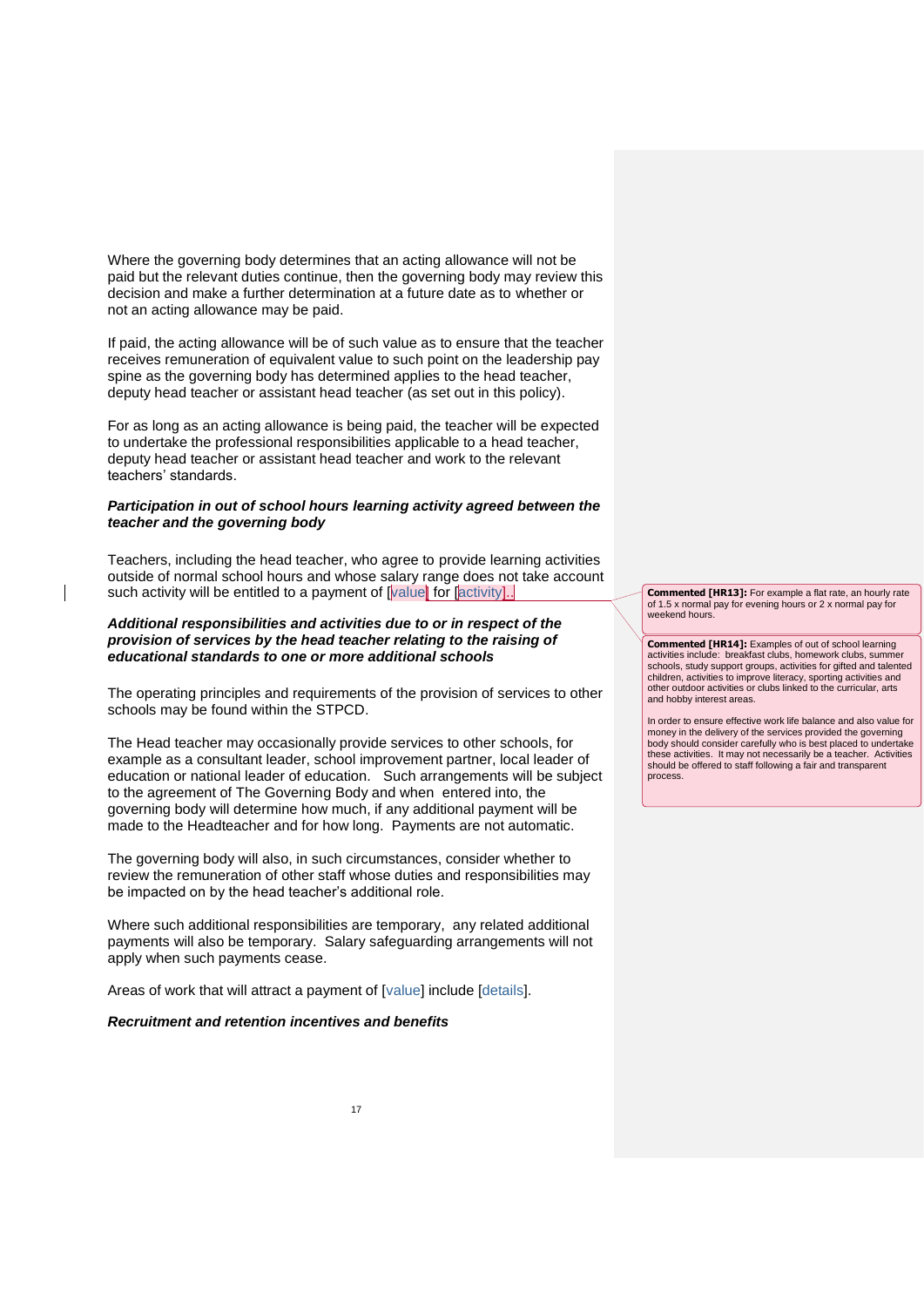Where the governing body determines that an acting allowance will not be paid but the relevant duties continue, then the governing body may review this decision and make a further determination at a future date as to whether or not an acting allowance may be paid.

If paid, the acting allowance will be of such value as to ensure that the teacher receives remuneration of equivalent value to such point on the leadership pay spine as the governing body has determined applies to the head teacher, deputy head teacher or assistant head teacher (as set out in this policy).

For as long as an acting allowance is being paid, the teacher will be expected to undertake the professional responsibilities applicable to a head teacher, deputy head teacher or assistant head teacher and work to the relevant teachers' standards.

#### <span id="page-16-0"></span>*Participation in out of school hours learning activity agreed between the teacher and the governing body*

Teachers, including the head teacher, who agree to provide learning activities outside of normal school hours and whose salary range does not take account such activity will be entitled to a payment of  $\sqrt{\frac{2}{\pi}}$  for  $\sqrt{\frac{2}{\pi}}$  [activity].

#### <span id="page-16-1"></span>*Additional responsibilities and activities due to or in respect of the provision of services by the head teacher relating to the raising of educational standards to one or more additional schools*

The operating principles and requirements of the provision of services to other schools may be found within the STPCD.

The Head teacher may occasionally provide services to other schools, for example as a consultant leader, school improvement partner, local leader of education or national leader of education. Such arrangements will be subject to the agreement of The Governing Body and when entered into, the governing body will determine how much, if any additional payment will be made to the Headteacher and for how long. Payments are not automatic.

The governing body will also, in such circumstances, consider whether to review the remuneration of other staff whose duties and responsibilities may be impacted on by the head teacher's additional role.

Where such additional responsibilities are temporary, any related additional payments will also be temporary. Salary safeguarding arrangements will not apply when such payments cease.

Areas of work that will attract a payment of [value] include [details].

#### <span id="page-16-2"></span>*Recruitment and retention incentives and benefits*

**Commented [HR13]:** For example a flat rate, an hourly rate of 1.5 x normal pay for evening hours or 2 x normal pay for weekend hours.

**Commented [HR14]:** Examples of out of school learning activities include: breakfast clubs, homework clubs, summer schools, study support groups, activities for gifted and talented children, activities to improve literacy, sporting activities and other outdoor activities or clubs linked to the curricular, arts and hobby interest areas.

In order to ensure effective work life balance and also value for money in the delivery of the services provided the governing body should consider carefully who is best placed to undertake these activities. It may not necessarily be a teacher. Activities should be offered to staff following a fair and transparent process.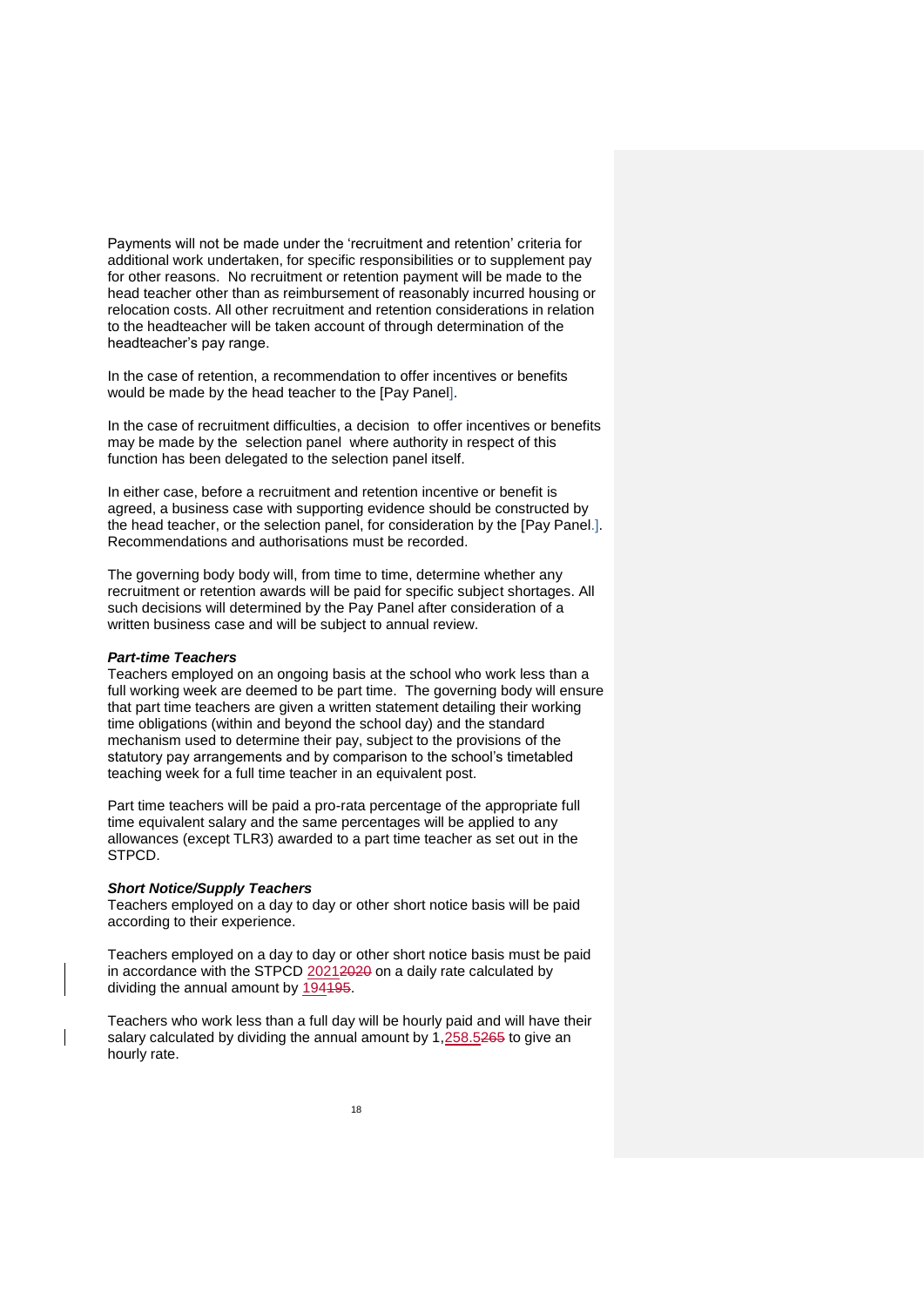Payments will not be made under the 'recruitment and retention' criteria for additional work undertaken, for specific responsibilities or to supplement pay for other reasons. No recruitment or retention payment will be made to the head teacher other than as reimbursement of reasonably incurred housing or relocation costs. All other recruitment and retention considerations in relation to the headteacher will be taken account of through determination of the headteacher's pay range.

In the case of retention, a recommendation to offer incentives or benefits would be made by the head teacher to the [Pay Panel].

In the case of recruitment difficulties, a decision to offer incentives or benefits may be made by the selection panel where authority in respect of this function has been delegated to the selection panel itself.

In either case, before a recruitment and retention incentive or benefit is agreed, a business case with supporting evidence should be constructed by the head teacher, or the selection panel, for consideration by the [Pay Panel.]. Recommendations and authorisations must be recorded.

The governing body body will, from time to time, determine whether any recruitment or retention awards will be paid for specific subject shortages. All such decisions will determined by the Pay Panel after consideration of a written business case and will be subject to annual review.

#### <span id="page-17-0"></span>*Part-time Teachers*

Teachers employed on an ongoing basis at the school who work less than a full working week are deemed to be part time. The governing body will ensure that part time teachers are given a written statement detailing their working time obligations (within and beyond the school day) and the standard mechanism used to determine their pay, subject to the provisions of the statutory pay arrangements and by comparison to the school's timetabled teaching week for a full time teacher in an equivalent post.

Part time teachers will be paid a pro-rata percentage of the appropriate full time equivalent salary and the same percentages will be applied to any allowances (except TLR3) awarded to a part time teacher as set out in the STPCD.

#### <span id="page-17-1"></span>*Short Notice/Supply Teachers*

Teachers employed on a day to day or other short notice basis will be paid according to their experience.

Teachers employed on a day to day or other short notice basis must be paid in accordance with the STPCD 20212020 on a daily rate calculated by dividing the annual amount by 194195.

Teachers who work less than a full day will be hourly paid and will have their salary calculated by dividing the annual amount by 1,258.5265 to give an hourly rate.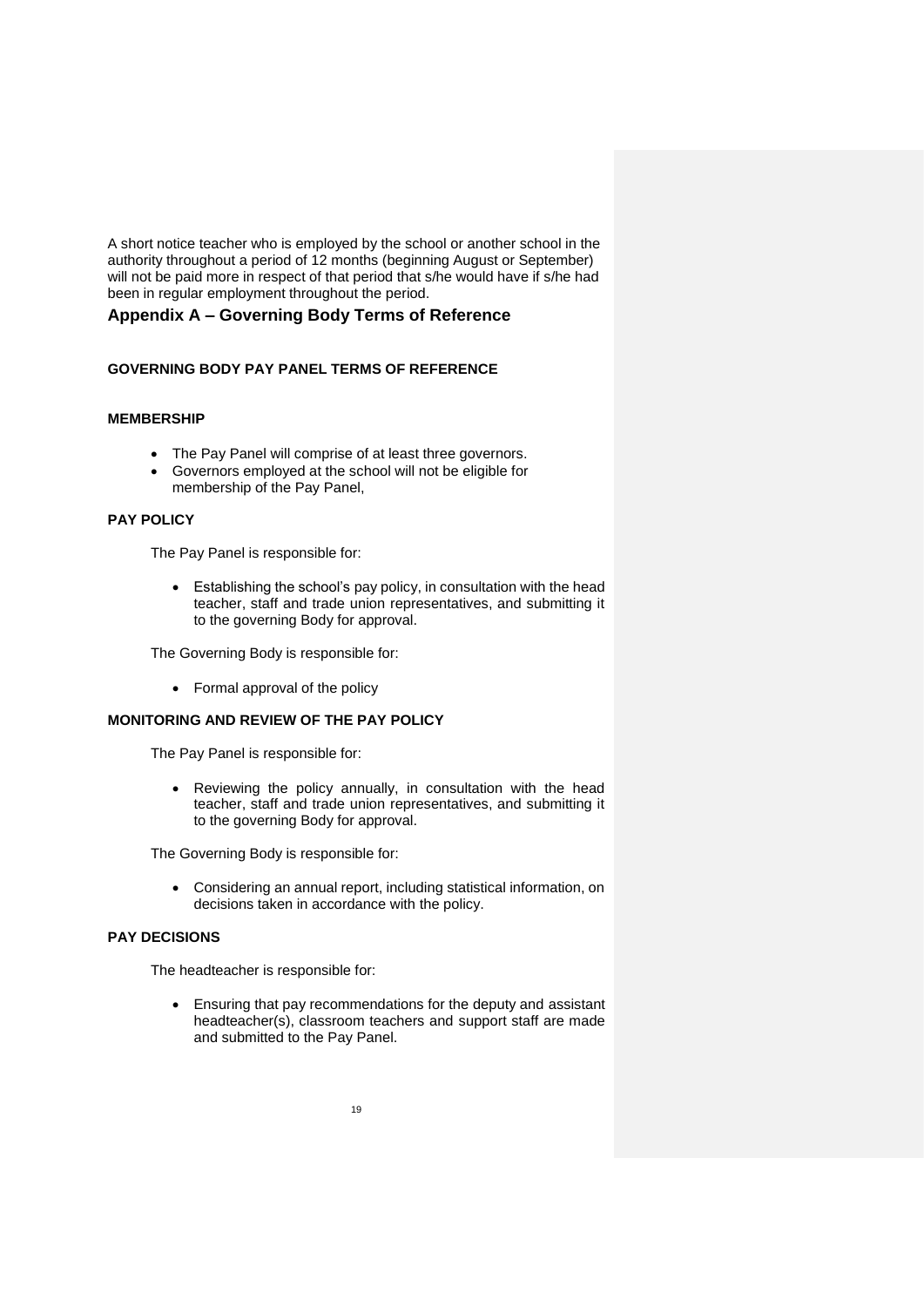A short notice teacher who is employed by the school or another school in the authority throughout a period of 12 months (beginning August or September) will not be paid more in respect of that period that s/he would have if s/he had been in regular employment throughout the period.

# <span id="page-18-0"></span>**Appendix A – Governing Body Terms of Reference**

#### **GOVERNING BODY PAY PANEL TERMS OF REFERENCE**

#### **MEMBERSHIP**

- The Pay Panel will comprise of at least three governors.
- Governors employed at the school will not be eligible for membership of the Pay Panel,

#### **PAY POLICY**

The Pay Panel is responsible for:

 Establishing the school's pay policy, in consultation with the head teacher, staff and trade union representatives, and submitting it to the governing Body for approval.

The Governing Body is responsible for:

Formal approval of the policy

### **MONITORING AND REVIEW OF THE PAY POLICY**

The Pay Panel is responsible for:

 Reviewing the policy annually, in consultation with the head teacher, staff and trade union representatives, and submitting it to the governing Body for approval.

The Governing Body is responsible for:

 Considering an annual report, including statistical information, on decisions taken in accordance with the policy.

#### **PAY DECISIONS**

The headteacher is responsible for:

 Ensuring that pay recommendations for the deputy and assistant headteacher(s), classroom teachers and support staff are made and submitted to the Pay Panel.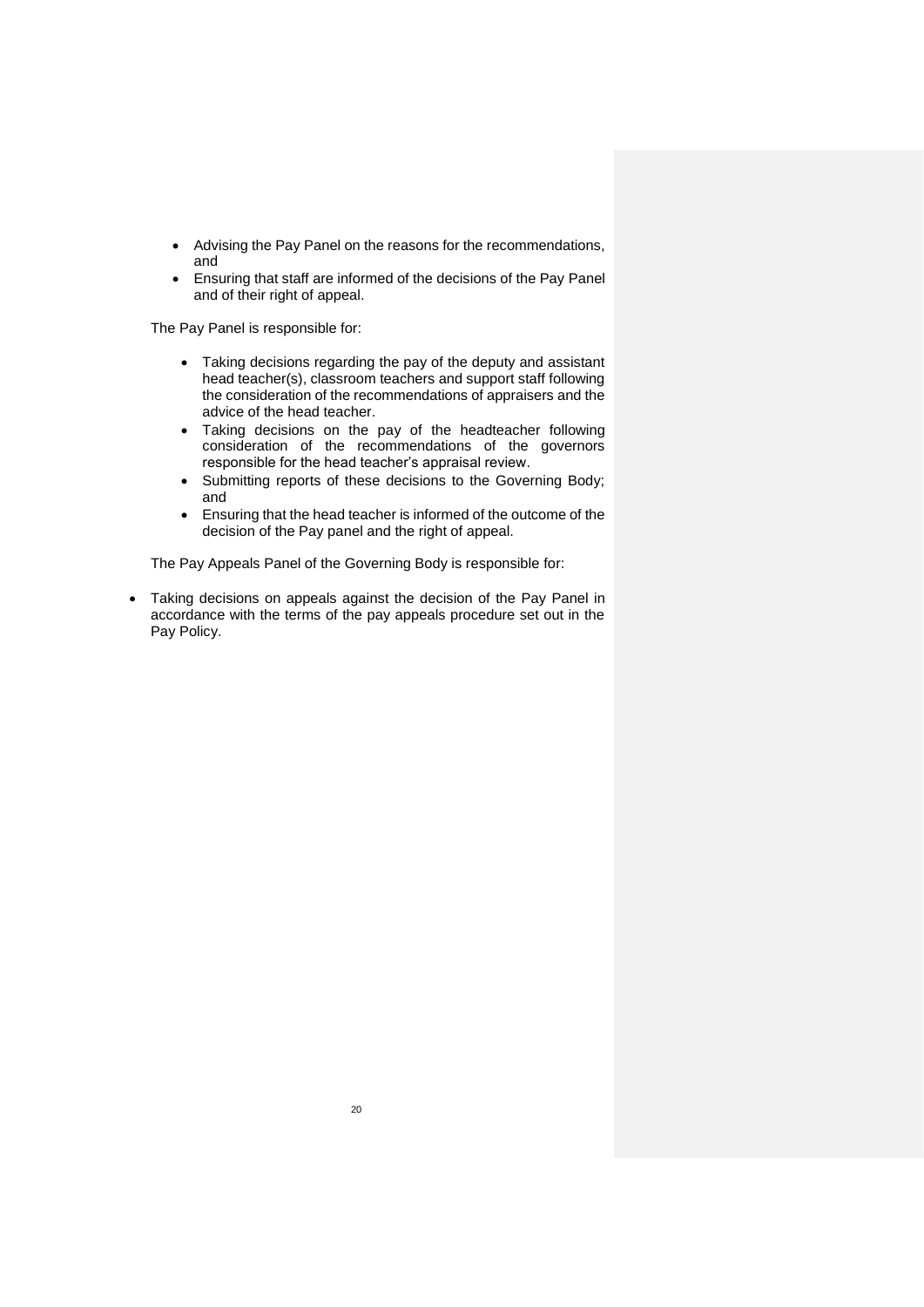- Advising the Pay Panel on the reasons for the recommendations, and
- Ensuring that staff are informed of the decisions of the Pay Panel and of their right of appeal.

The Pay Panel is responsible for:

- Taking decisions regarding the pay of the deputy and assistant head teacher(s), classroom teachers and support staff following the consideration of the recommendations of appraisers and the advice of the head teacher.
- Taking decisions on the pay of the headteacher following consideration of the recommendations of the governors responsible for the head teacher's appraisal review.
- Submitting reports of these decisions to the Governing Body; and
- Ensuring that the head teacher is informed of the outcome of the decision of the Pay panel and the right of appeal.

The Pay Appeals Panel of the Governing Body is responsible for:

 Taking decisions on appeals against the decision of the Pay Panel in accordance with the terms of the pay appeals procedure set out in the Pay Policy.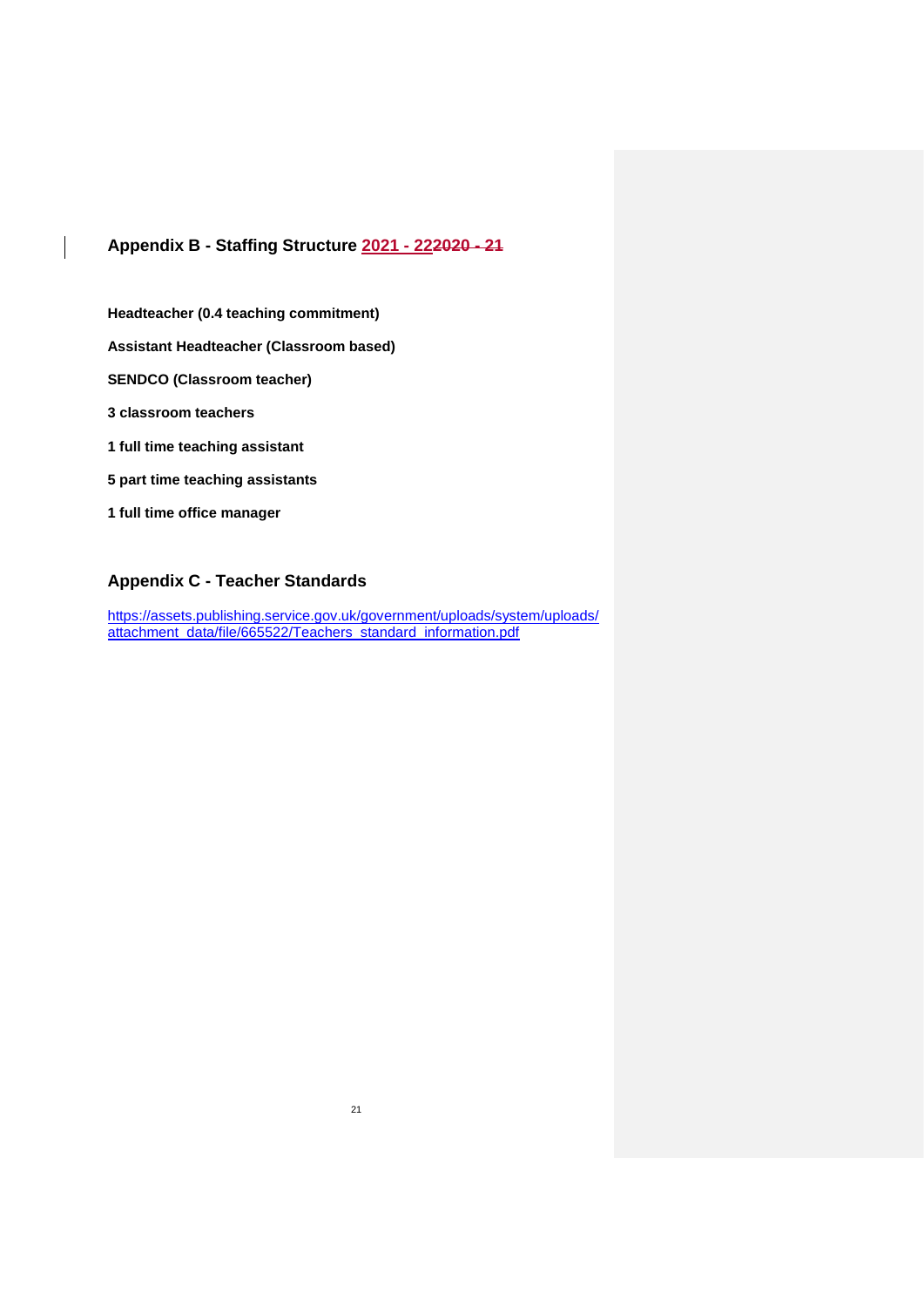# <span id="page-20-0"></span>**Appendix B - Staffing Structure 2021 - 222020 - 21**

**Headteacher (0.4 teaching commitment)**

**Assistant Headteacher (Classroom based)**

**SENDCO (Classroom teacher)**

**3 classroom teachers**

**1 full time teaching assistant**

**5 part time teaching assistants**

**1 full time office manager**

# <span id="page-20-1"></span>**Appendix C - Teacher Standards**

[https://assets.publishing.service.gov.uk/government/uploads/system/uploads/](https://assets.publishing.service.gov.uk/government/uploads/system/uploads/attachment_data/file/665522/Teachers_standard_information.pdf) [attachment\\_data/file/665522/Teachers\\_standard\\_information.pdf](https://assets.publishing.service.gov.uk/government/uploads/system/uploads/attachment_data/file/665522/Teachers_standard_information.pdf)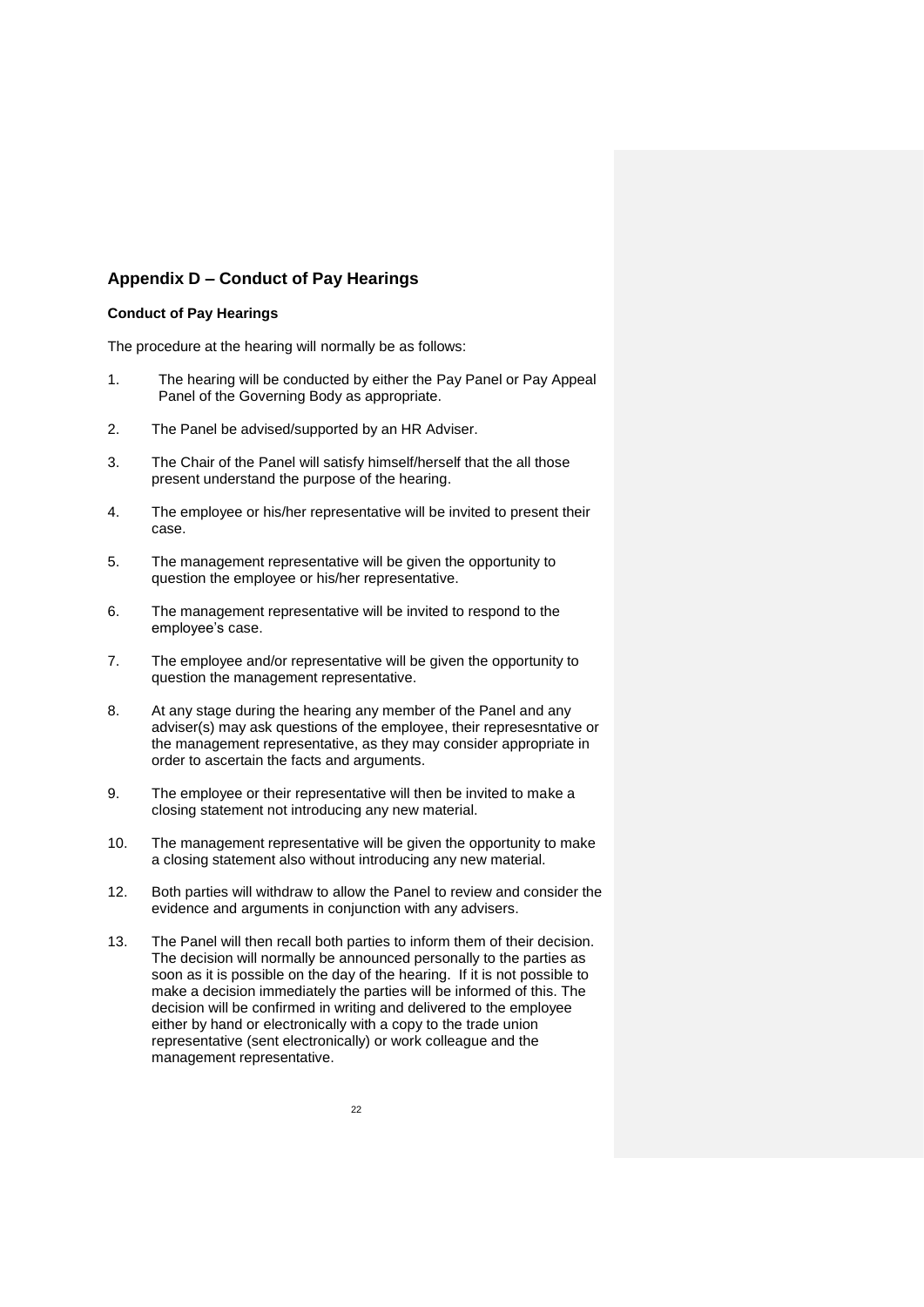## <span id="page-21-0"></span>**Appendix D – Conduct of Pay Hearings**

#### **Conduct of Pay Hearings**

The procedure at the hearing will normally be as follows:

- 1. The hearing will be conducted by either the Pay Panel or Pay Appeal Panel of the Governing Body as appropriate.
- 2. The Panel be advised/supported by an HR Adviser.
- 3. The Chair of the Panel will satisfy himself/herself that the all those present understand the purpose of the hearing.
- 4. The employee or his/her representative will be invited to present their case.
- 5. The management representative will be given the opportunity to question the employee or his/her representative.
- 6. The management representative will be invited to respond to the employee's case.
- 7. The employee and/or representative will be given the opportunity to question the management representative.
- 8. At any stage during the hearing any member of the Panel and any adviser(s) may ask questions of the employee, their represesntative or the management representative, as they may consider appropriate in order to ascertain the facts and arguments.
- 9. The employee or their representative will then be invited to make a closing statement not introducing any new material.
- 10. The management representative will be given the opportunity to make a closing statement also without introducing any new material.
- 12. Both parties will withdraw to allow the Panel to review and consider the evidence and arguments in conjunction with any advisers.
- 13. The Panel will then recall both parties to inform them of their decision. The decision will normally be announced personally to the parties as soon as it is possible on the day of the hearing. If it is not possible to make a decision immediately the parties will be informed of this. The decision will be confirmed in writing and delivered to the employee either by hand or electronically with a copy to the trade union representative (sent electronically) or work colleague and the management representative.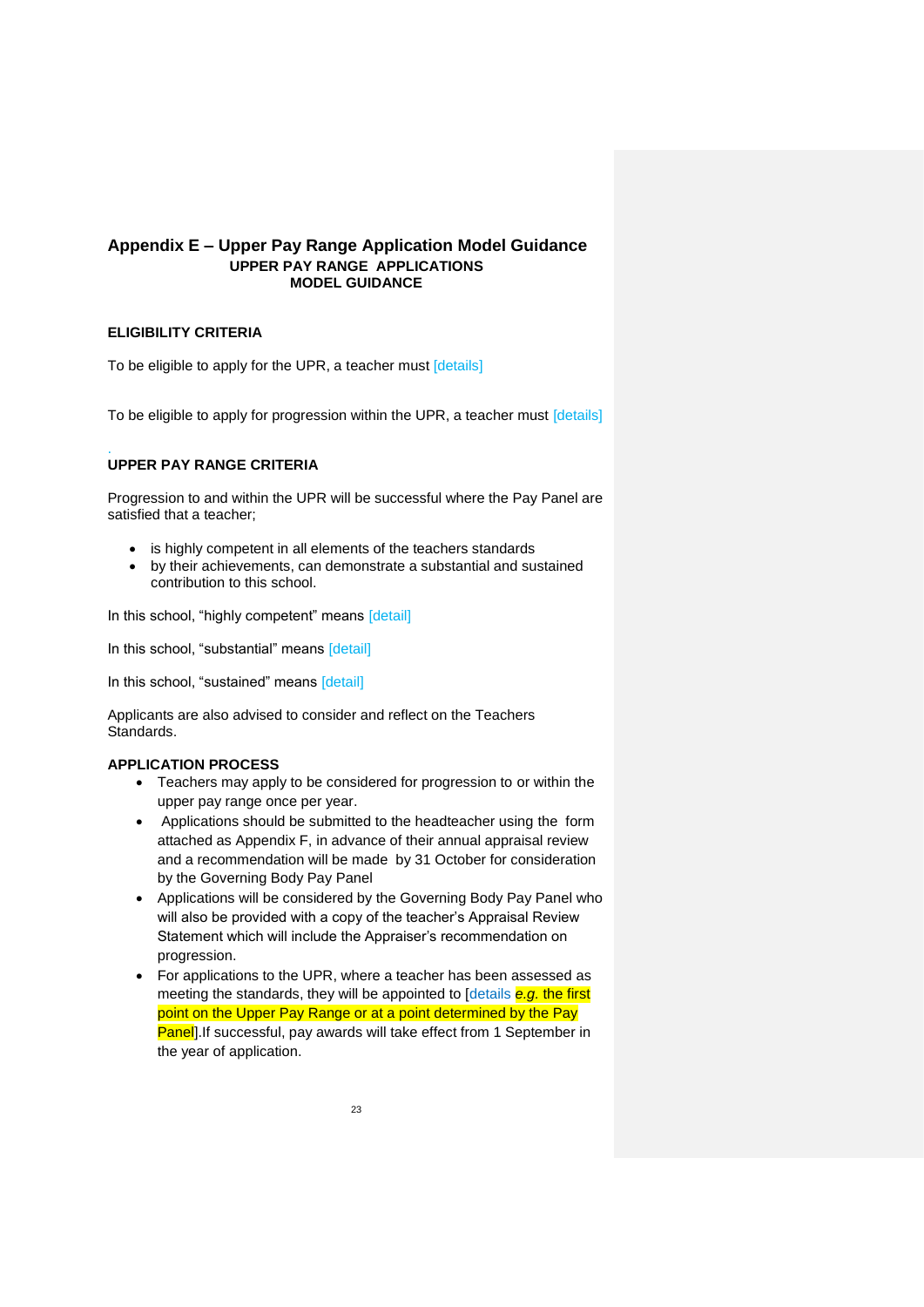#### <span id="page-22-0"></span>**Appendix E – Upper Pay Range Application Model Guidance UPPER PAY RANGE APPLICATIONS MODEL GUIDANCE**

### **ELIGIBILITY CRITERIA**

To be eligible to apply for the UPR, a teacher must [details]

To be eligible to apply for progression within the UPR, a teacher must [details]

#### . **UPPER PAY RANGE CRITERIA**

Progression to and within the UPR will be successful where the Pay Panel are satisfied that a teacher;

- is highly competent in all elements of the teachers standards
- by their achievements, can demonstrate a substantial and sustained contribution to this school.

In this school, "highly competent" means [detail]

In this school, "substantial" means [detail]

In this school, "sustained" means [detail]

Applicants are also advised to consider and reflect on the Teachers Standards.

#### **APPLICATION PROCESS**

- Teachers may apply to be considered for progression to or within the upper pay range once per year.
- Applications should be submitted to the headteacher using the form attached as Appendix F, in advance of their annual appraisal review and a recommendation will be made by 31 October for consideration by the Governing Body Pay Panel
- Applications will be considered by the Governing Body Pay Panel who will also be provided with a copy of the teacher's Appraisal Review Statement which will include the Appraiser's recommendation on progression.
- For applications to the UPR, where a teacher has been assessed as meeting the standards, they will be appointed to [details *e.g.* the first point on the Upper Pay Range or at a point determined by the Pay **Panel**. If successful, pay awards will take effect from 1 September in the year of application.